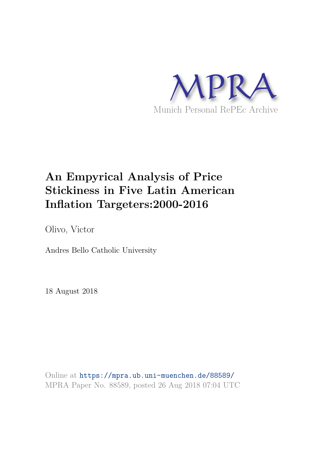

# **An Empyrical Analysis of Price Stickiness in Five Latin American Inflation Targeters:2000-2016**

Olivo, Victor

Andres Bello Catholic University

18 August 2018

Online at https://mpra.ub.uni-muenchen.de/88589/ MPRA Paper No. 88589, posted 26 Aug 2018 07:04 UTC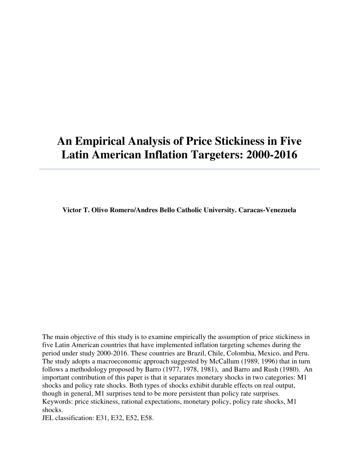# **An Empirical Analysis of Price Stickiness in Five Latin American Inflation Targeters: 2000-2016**

**Victor T. Olivo Romero/Andres Bello Catholic University. Caracas-Venezuela**

The main objective of this study is to examine empirically the assumption of price stickiness in five Latin American countries that have implemented inflation targeting schemes during the period under study 2000-2016. These countries are Brazil, Chile, Colombia, Mexico, and Peru. The study adopts a macroeconomic approach suggested by McCallum (1989, 1996) that in turn follows a methodology proposed by Barro (1977, 1978, 1981), and Barro and Rush (1980). An important contribution of this paper is that it separates monetary shocks in two categories: M1 shocks and policy rate shocks. Both types of shocks exhibit durable effects on real output, though in general, M1 surprises tend to be more persistent than policy rate surprises. Keywords: price stickiness, rational expectations, monetary policy, policy rate shocks, M1 shocks.

JEL classification: E31, E32, E52, E58.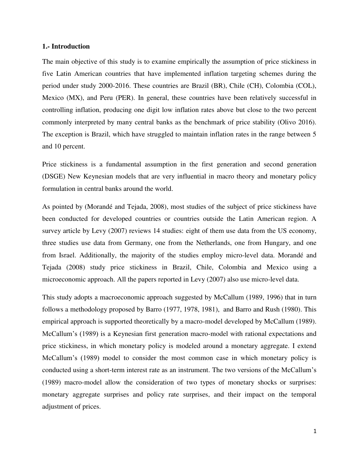## **1.- Introduction**

The main objective of this study is to examine empirically the assumption of price stickiness in five Latin American countries that have implemented inflation targeting schemes during the period under study 2000-2016. These countries are Brazil (BR), Chile (CH), Colombia (COL), Mexico (MX), and Peru (PER). In general, these countries have been relatively successful in controlling inflation, producing one digit low inflation rates above but close to the two percent commonly interpreted by many central banks as the benchmark of price stability (Olivo 2016). The exception is Brazil, which have struggled to maintain inflation rates in the range between 5 and 10 percent.

Price stickiness is a fundamental assumption in the first generation and second generation (DSGE) New Keynesian models that are very influential in macro theory and monetary policy formulation in central banks around the world.

As pointed by (Morandé and Tejada, 2008), most studies of the subject of price stickiness have been conducted for developed countries or countries outside the Latin American region. A survey article by Levy (2007) reviews 14 studies: eight of them use data from the US economy, three studies use data from Germany, one from the Netherlands, one from Hungary, and one from Israel. Additionally, the majority of the studies employ micro-level data. Morandé and Tejada (2008) study price stickiness in Brazil, Chile, Colombia and Mexico using a microeconomic approach. All the papers reported in Levy (2007) also use micro-level data.

This study adopts a macroeconomic approach suggested by McCallum (1989, 1996) that in turn follows a methodology proposed by Barro (1977, 1978, 1981), and Barro and Rush (1980). This empirical approach is supported theoretically by a macro-model developed by McCallum (1989). McCallum's (1989) is a Keynesian first generation macro-model with rational expectations and price stickiness, in which monetary policy is modeled around a monetary aggregate. I extend McCallum's (1989) model to consider the most common case in which monetary policy is conducted using a short-term interest rate as an instrument. The two versions of the McCallum's (1989) macro-model allow the consideration of two types of monetary shocks or surprises: monetary aggregate surprises and policy rate surprises, and their impact on the temporal adjustment of prices.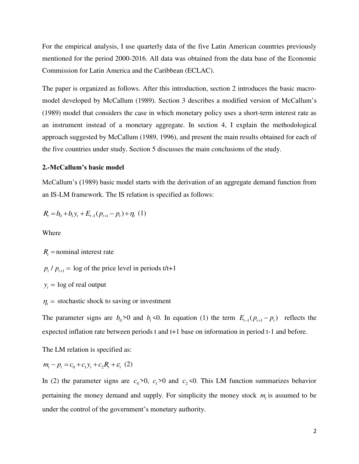For the empirical analysis, I use quarterly data of the five Latin American countries previously mentioned for the period 2000-2016. All data was obtained from the data base of the Economic Commission for Latin America and the Caribbean (ECLAC).

The paper is organized as follows. After this introduction, section 2 introduces the basic macromodel developed by McCallum (1989). Section 3 describes a modified version of McCallum's (1989) model that considers the case in which monetary policy uses a short-term interest rate as an instrument instead of a monetary aggregate. In section 4, I explain the methodological approach suggested by McCallum (1989, 1996), and present the main results obtained for each of the five countries under study. Section 5 discusses the main conclusions of the study.

## **2.-McCallum's basic model**

McCallum's (1989) basic model starts with the derivation of an aggregate demand function from an IS-LM framework. The IS relation is specified as follows:

$$
R_{t} = b_{0} + b_{1}y_{t} + E_{t-1}(p_{t+1} - p_{t}) + \eta_{t}(1)
$$

Where

 $R<sub>t</sub>$  = nominal interest rate

$$
p_t / p_{t+1} = \log \text{ of the price level in periods } t/t+1
$$

 $y_t = \log \text{ of real output}$ 

 $\eta_t$  = stochastic shock to saving or investment

The parameter signs are  $b_0 > 0$  and  $b_1 < 0$ . In equation (1) the term  $E_{t-1}(p_{t+1} - p_t)$  reflects the expected inflation rate between periods t and t+1 base on information in period t-1 and before.

The LM relation is specified as:

$$
m_t - p_t = c_0 + c_1 y_t + c_2 R_t + \varepsilon_t (2)
$$

In (2) the parameter signs are  $c_0 > 0$ ,  $c_1 > 0$  and  $c_2 < 0$ . This LM function summarizes behavior pertaining the money demand and supply. For simplicity the money stock  $m<sub>t</sub>$  is assumed to be under the control of the government's monetary authority.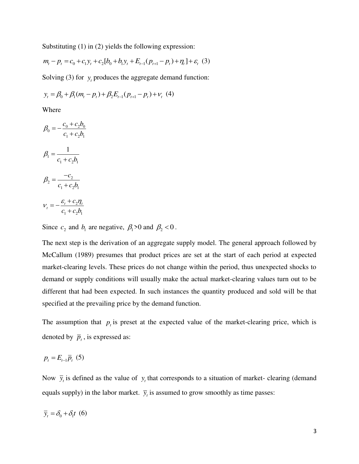Substituting (1) in (2) yields the following expression:

$$
m_{t} - p_{t} = c_{0} + c_{1}y_{t} + c_{2}[b_{0} + b_{1}y_{t} + E_{t-1}(p_{t+1} - p_{t}) + \eta_{t}] + \varepsilon_{t} (3)
$$

Solving (3) for  $y_t$  produces the aggregate demand function:

$$
y_t = \beta_0 + \beta_1 (m_t - p_t) + \beta_2 E_{t-1} (p_{t+1} - p_t) + v_t
$$
 (4)

Where

$$
\beta_0 = -\frac{c_0 + c_2 b_0}{c_1 + c_2 b_1}
$$

$$
\beta_1 = \frac{1}{c_1 + c_2 b_1}
$$

$$
\beta_2 = \frac{-c_2}{c_1 + c_2 b_1}
$$

$$
\nu_t = -\frac{\varepsilon_t + c_2 \eta_t}{c_1 + c_2 b_1}
$$

Since  $c_2$  and  $b_1$  are negative,  $\beta_1 > 0$  and  $\beta_2 < 0$ .

The next step is the derivation of an aggregate supply model. The general approach followed by McCallum (1989) presumes that product prices are set at the start of each period at expected market-clearing levels. These prices do not change within the period, thus unexpected shocks to demand or supply conditions will usually make the actual market-clearing values turn out to be different that had been expected. In such instances the quantity produced and sold will be that specified at the prevailing price by the demand function.

The assumption that  $p_t$  is preset at the expected value of the market-clearing price, which is denoted by  $\overline{p}_t$ , is expressed as:

$$
p_t = E_{t-1}\overline{p}_t \ (5)
$$

Now  $\bar{y}_t$  is defined as the value of  $y_t$  that corresponds to a situation of market- clearing (demand equals supply) in the labor market.  $\bar{y}_t$  is assumed to grow smoothly as time passes:

$$
\overline{y}_t = \delta_0 + \delta_1 t \ (6)
$$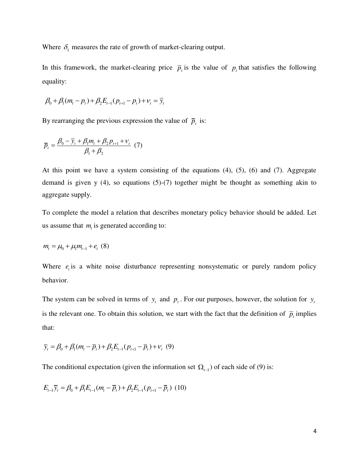Where  $\delta_1$  measures the rate of growth of market-clearing output.

In this framework, the market-clearing price  $\bar{p}_t$  is the value of  $p_t$  that satisfies the following equality:

$$
\beta_0 + \beta_1(m_t - p_t) + \beta_2 E_{t-1}(p_{t+1} - p_t) + v_t = \overline{y}_t
$$

By rearranging the previous expression the value of  $\bar{p}_i$  is:

$$
\overline{p}_t = \frac{\beta_0 - \overline{y}_t + \beta_1 m_t + \beta_2 p_{t+1} + v_t}{\beta_1 + \beta_2} (7)
$$

At this point we have a system consisting of the equations (4), (5), (6) and (7). Aggregate demand is given y (4), so equations (5)-(7) together might be thought as something akin to aggregate supply.

To complete the model a relation that describes monetary policy behavior should be added. Let us assume that  $m<sub>t</sub>$  is generated according to:

$$
m_{t} = \mu_{0} + \mu_{1} m_{t-1} + e_{t} \quad (8)
$$

Where  $e_t$  is a white noise disturbance representing nonsystematic or purely random policy behavior.

The system can be solved in terms of  $y_t$  and  $p_t$ . For our purposes, however, the solution for  $y_t$ is the relevant one. To obtain this solution, we start with the fact that the definition of  $\bar{p}_i$  implies that:

$$
\bar{y}_t = \beta_0 + \beta_1 (m_t - \bar{p}_t) + \beta_2 E_{t-1} (p_{t+1} - \bar{p}_t) + V_t (9)
$$

The conditional expectation (given the information set  $\Omega_{t-1}$ ) of each side of (9) is:

$$
E_{t-1}\overline{y}_t = \beta_0 + \beta_1 E_{t-1}(m_t - \overline{p}_t) + \beta_2 E_{t-1}(p_{t+1} - \overline{p}_t) (10)
$$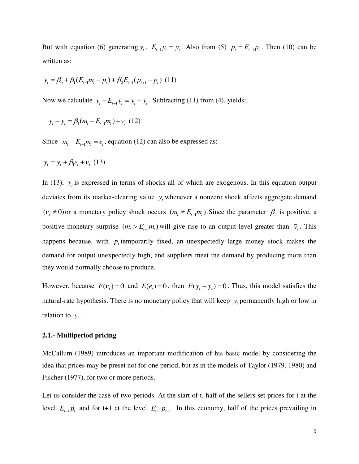But with equation (6) generating  $\overline{y}_t$ ,  $E_{t-1}\overline{y}_t = \overline{y}_t$ . Also from (5)  $p_t = E_{t-1}\overline{p}_t$ . Then (10) can be written as:

$$
\overline{y}_t = \beta_0 + \beta_1 (E_{t-1}m_t - p_t) + \beta_2 E_{t-1} (p_{t+1} - p_t)
$$
 (11)

Now we calculate  $y_t - E_{t-1} \overline{y}_t = y_t - \overline{y}_t$ . Subtracting (11) from (4), yields:

$$
y_t - \bar{y}_t = \beta_1 (m_t - E_{t-1} m_t) + v_t (12)
$$

Since  $m_t - E_{t-1}m_t = e_t$ , equation (12) can also be expressed as:

$$
y_t = \overline{y}_t + \beta_1 e_t + v_t \quad (13)
$$

In (13),  $y_t$  is expressed in terms of shocks all of which are exogenous. In this equation output deviates from its market-clearing value  $\bar{y}_t$  whenever a nonzero shock affects aggregate demand  $(v_t \neq 0)$  or a monetary policy shock occurs  $(m_t \neq E_{t-1}m_t)$ . Since the parameter  $\beta_1$  is positive, a positive monetary surprise  $(m_t > E_{t-1}m_t)$  will give rise to an output level greater than  $\bar{y}_t$ . This happens because, with  $p_t$  temporarily fixed, an unexpectedly large money stock makes the demand for output unexpectedly high, and suppliers meet the demand by producing more than they would normally choose to produce.

However, because  $E(v_t) = 0$  and  $E(e_t) = 0$ , then  $E(y_t - \overline{y}_t) = 0$ . Thus, this model satisfies the natural-rate hypothesis. There is no monetary policy that will keep  $y_t$  permanently high or low in relation to  $\overline{y}_t$ .

## **2.1.- Multiperiod pricing**

McCallum (1989) introduces an important modification of his basic model by considering the idea that prices may be preset not for one period, but as in the models of Taylor (1979, 1980) and Fischer (1977), for two or more periods.

Let us consider the case of two periods. At the start of t, half of the sellers set prices for t at the level  $E_{t-1} \overline{p}_t$  and for t+1 at the level  $E_{t-1} \overline{p}_{t+1}$ . In this economy, half of the prices prevailing in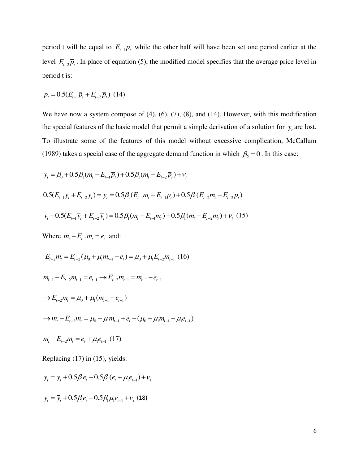period t will be equal to  $E_{t-1} \overline{p}_t$  while the other half will have been set one period earlier at the level  $E_{t-2} \bar{p}_t$ . In place of equation (5), the modified model specifies that the average price level in period t is:

$$
p_t = 0.5(E_{t-1}\bar{p}_t + E_{t-2}\bar{p}_t) (14)
$$

We have now a system compose of (4), (6), (7), (8), and (14). However, with this modification the special features of the basic model that permit a simple derivation of a solution for  $y_t$  are lost. To illustrate some of the features of this model without excessive complication, McCallum (1989) takes a special case of the aggregate demand function in which  $\beta_2 = 0$ . In this case:

$$
y_{t} = \beta_{0} + 0.5\beta_{1}(m_{t} - E_{t-1}\overline{p}_{t}) + 0.5\beta_{1}(m_{t} - E_{t-2}\overline{p}_{t}) + v_{t}
$$
  
0.5( $E_{t-1}\overline{y}_{t} + E_{t-2}\overline{y}_{t}) = \overline{y}_{t} = 0.5\beta_{1}(E_{t-1}m_{t} - E_{t-1}\overline{p}_{t}) + 0.5\beta_{1}(E_{t-2}m_{t} - E_{t-2}\overline{p}_{t})$   

$$
y_{t} - 0.5(E_{t-1}\overline{y}_{t} + E_{t-2}\overline{y}_{t}) = 0.5\beta_{1}(m_{t} - E_{t-1}m_{t}) + 0.5\beta_{1}(m_{t} - E_{t-2}m_{t}) + v_{t}
$$
 (15)

Where  $m_t - E_{t-1}m_t = e_t$  and:

$$
E_{t-2}m_t = E_{t-2}(\mu_0 + \mu_1 m_{t-1} + e_t) = \mu_0 + \mu_1 E_{t-2}m_{t-1} (16)
$$

$$
m_{t-1} - E_{t-2}m_{t-1} = e_{t-1} \rightarrow E_{t-2}m_{t-1} = m_{t-1} - e_{t-1}
$$

$$
\rightarrow E_{t-2}m_{t} = \mu_{0} + \mu_{1}(m_{t-1} - e_{t-1})
$$
  
\n
$$
\rightarrow m_{t} - E_{t-2}m_{t} = \mu_{0} + \mu_{1}m_{t-1} + e_{t} - (\mu_{0} + \mu_{1}m_{t-1} - \mu_{1}e_{t-1})
$$

$$
m_{t} - E_{t-2}m_{t} = e_{t} + \mu_{1}e_{t-1} \tag{17}
$$

Replacing (17) in (15), yields:

$$
y_t = \overline{y}_t + 0.5\beta_1 e_t + 0.5\beta_1 (e_t + \mu_1 e_{t-1}) + v_t
$$

$$
y_t = \overline{y}_t + 0.5\beta_1 e_t + 0.5\beta_1 \mu_1 e_{t-1} + v_t
$$
 (18)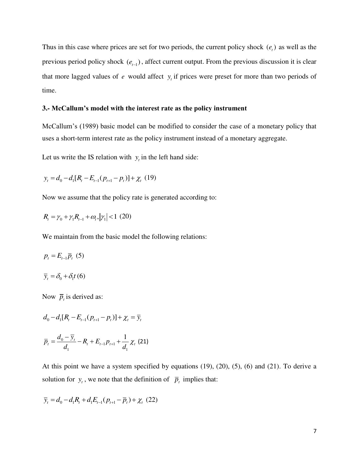Thus in this case where prices are set for two periods, the current policy shock  $(e_t)$  as well as the previous period policy shock  $(e_{t-1})$ , affect current output. From the previous discussion it is clear that more lagged values of  $e$  would affect  $y<sub>t</sub>$  if prices were preset for more than two periods of time.

## **3.- McCallum's model with the interest rate as the policy instrument**

McCallum's (1989) basic model can be modified to consider the case of a monetary policy that uses a short-term interest rate as the policy instrument instead of a monetary aggregate.

Let us write the IS relation with  $y_t$  in the left hand side:

$$
y_{t} = d_{0} - d_{1}[R_{t} - E_{t-1}(p_{t+1} - p_{t})] + \chi_{t} (19)
$$

Now we assume that the policy rate is generated according to:

$$
R_{t} = \gamma_{0} + \gamma_{1} R_{t-1} + \omega_{t}, |\gamma_{1}| < 1 \text{ (20)}
$$

We maintain from the basic model the following relations:

$$
p_t = E_{t-1}\overline{p}_t \ (5)
$$

 $\overline{y}_t = \delta_0 + \delta_1 t$  (6)

Now  $\overline{p}_t$  is derived as:

$$
d_0 - d_1[R_t - E_{t-1}(p_{t+1} - p_t)] + \chi_t = \overline{y}_t
$$

$$
\overline{p}_t = \frac{d_0 - \overline{y}_t}{d_1} - R_t + E_{t-1} p_{t+1} + \frac{1}{d_1} \chi_t
$$
 (21)

At this point we have a system specified by equations (19), (20), (5), (6) and (21). To derive a solution for  $y_t$ , we note that the definition of  $\bar{p}_t$  implies that:

$$
\overline{y}_t = d_0 - d_1 R_t + d_1 E_{t-1} (p_{t+1} - \overline{p}_t) + \chi_t (22)
$$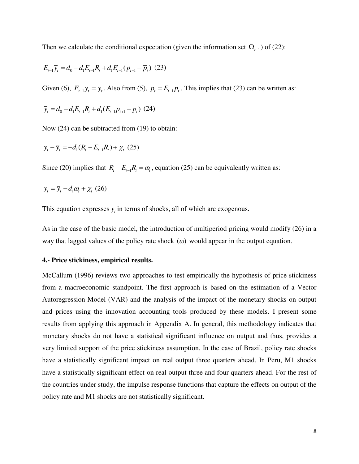Then we calculate the conditional expectation (given the information set  $\Omega_{t-1}$ ) of (22):

$$
E_{t-1}\overline{y}_t = d_0 - d_1 E_{t-1} R_t + d_1 E_{t-1} (p_{t+1} - \overline{p}_t) (23)
$$

Given (6),  $E_{t-1}\overline{y}_t = \overline{y}_t$ . Also from (5),  $p_t = E_{t-1}\overline{p}_t$ . This implies that (23) can be written as:

$$
\overline{y}_t = d_0 - d_1 E_{t-1} R_t + d_1 (E_{t-1} p_{t+1} - p_t) (24)
$$

Now (24) can be subtracted from (19) to obtain:

$$
y_t - \overline{y}_t = -d_1(R_t - E_{t-1}R_t) + \chi_t (25)
$$

Since (20) implies that  $R_t - E_{t-1}R_t = \omega_t$ , equation (25) can be equivalently written as:

$$
y_t = \overline{y}_t - d_1 \omega_t + \chi_t (26)
$$

This equation expresses  $y_t$  in terms of shocks, all of which are exogenous.

As in the case of the basic model, the introduction of multiperiod pricing would modify (26) in a way that lagged values of the policy rate shock  $(\omega)$  would appear in the output equation.

## **4.- Price stickiness, empirical results.**

McCallum (1996) reviews two approaches to test empirically the hypothesis of price stickiness from a macroeconomic standpoint. The first approach is based on the estimation of a Vector Autoregression Model (VAR) and the analysis of the impact of the monetary shocks on output and prices using the innovation accounting tools produced by these models. I present some results from applying this approach in Appendix A. In general, this methodology indicates that monetary shocks do not have a statistical significant influence on output and thus, provides a very limited support of the price stickiness assumption. In the case of Brazil, policy rate shocks have a statistically significant impact on real output three quarters ahead. In Peru, M1 shocks have a statistically significant effect on real output three and four quarters ahead. For the rest of the countries under study, the impulse response functions that capture the effects on output of the policy rate and M1 shocks are not statistically significant.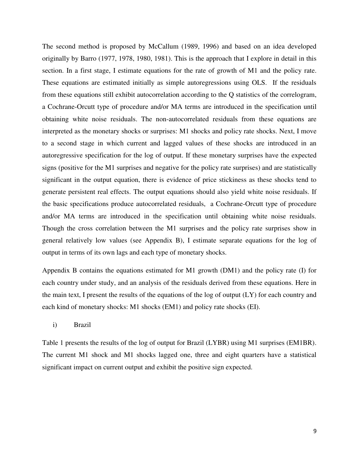The second method is proposed by McCallum (1989, 1996) and based on an idea developed originally by Barro (1977, 1978, 1980, 1981). This is the approach that I explore in detail in this section. In a first stage, I estimate equations for the rate of growth of M1 and the policy rate. These equations are estimated initially as simple autoregressions using OLS. If the residuals from these equations still exhibit autocorrelation according to the Q statistics of the correlogram, a Cochrane-Orcutt type of procedure and/or MA terms are introduced in the specification until obtaining white noise residuals. The non-autocorrelated residuals from these equations are interpreted as the monetary shocks or surprises: M1 shocks and policy rate shocks. Next, I move to a second stage in which current and lagged values of these shocks are introduced in an autoregressive specification for the log of output. If these monetary surprises have the expected signs (positive for the M1 surprises and negative for the policy rate surprises) and are statistically significant in the output equation, there is evidence of price stickiness as these shocks tend to generate persistent real effects. The output equations should also yield white noise residuals. If the basic specifications produce autocorrelated residuals, a Cochrane-Orcutt type of procedure and/or MA terms are introduced in the specification until obtaining white noise residuals. Though the cross correlation between the M1 surprises and the policy rate surprises show in general relatively low values (see Appendix B), I estimate separate equations for the log of output in terms of its own lags and each type of monetary shocks.

Appendix B contains the equations estimated for M1 growth (DM1) and the policy rate (I) for each country under study, and an analysis of the residuals derived from these equations. Here in the main text, I present the results of the equations of the log of output (LY) for each country and each kind of monetary shocks: M1 shocks (EM1) and policy rate shocks (EI).

i) Brazil

Table 1 presents the results of the log of output for Brazil (LYBR) using M1 surprises (EM1BR). The current M1 shock and M1 shocks lagged one, three and eight quarters have a statistical significant impact on current output and exhibit the positive sign expected.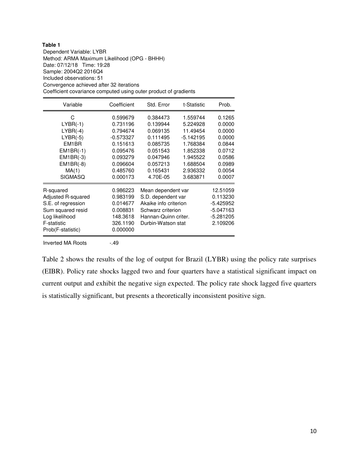Dependent Variable: LYBR Method: ARMA Maximum Likelihood (OPG - BHHH) Date: 07/12/18 Time: 19:28 Sample: 2004Q2 2016Q4 Included observations: 51 Convergence achieved after 32 iterations Coefficient covariance computed using outer product of gradients

| Variable           | Coefficient | Std. Error            | Prob.       |             |
|--------------------|-------------|-----------------------|-------------|-------------|
| C                  | 0.599679    | 0.384473<br>1.559744  |             | 0.1265      |
| $LYBR(-1)$         | 0.731196    | 0.139944              | 5.224928    | 0.0000      |
| $LYBR(-4)$         | 0.794674    | 0.069135              | 11.49454    | 0.0000      |
| $LYBR(-5)$         | $-0.573327$ | 0.111495              | $-5.142195$ | 0.0000      |
| EM1BR              | 0.151613    | 0.085735              | 1.768384    | 0.0844      |
| $EM1BR(-1)$        | 0.095476    | 0.051543              | 1.852338    | 0.0712      |
| $EM1BR(-3)$        | 0.093279    | 0.047946              | 1.945522    | 0.0586      |
| $EM1BR(-8)$        | 0.096604    | 0.057213              | 1.688504    | 0.0989      |
| MA(1)              | 0.485760    | 0.165431              | 2.936332    | 0.0054      |
| <b>SIGMASQ</b>     | 0.000173    | 4.70E-05<br>3.683871  |             | 0.0007      |
| R-squared          | 0.986223    | Mean dependent var    |             | 12.51059    |
| Adjusted R-squared | 0.983199    | S.D. dependent var    |             | 0.113230    |
| S.E. of regression | 0.014677    | Akaike info criterion |             | $-5.425952$ |
| Sum squared resid  | 0.008831    | Schwarz criterion     |             | $-5.047163$ |
| Log likelihood     | 148.3618    | Hannan-Quinn criter.  |             | $-5.281205$ |
| F-statistic        | 326.1190    | Durbin-Watson stat    | 2.109206    |             |
| Prob(F-statistic)  | 0.000000    |                       |             |             |
| Inverted MA Roots  | $-49$       |                       |             |             |

Table 2 shows the results of the log of output for Brazil (LYBR) using the policy rate surprises (EIBR). Policy rate shocks lagged two and four quarters have a statistical significant impact on current output and exhibit the negative sign expected. The policy rate shock lagged five quarters is statistically significant, but presents a theoretically inconsistent positive sign.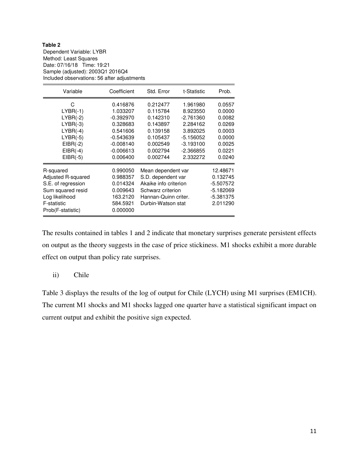#### **Table 2**  Dependent Variable: LYBR Method: Least Squares Date: 07/16/18 Time: 19:21 Sample (adjusted): 2003Q1 2016Q4 Included observations: 56 after adjustments

| Variable           | Coefficient | Std. Error<br>t-Statistic |             | Prob.       |
|--------------------|-------------|---------------------------|-------------|-------------|
| C                  | 0.416876    | 0.212477<br>1.961980      |             | 0.0557      |
| $LYBR(-1)$         | 1.033207    | 0.115784                  | 8.923550    | 0.0000      |
| $LYBR(-2)$         | $-0.392970$ | 0.142310                  | $-2.761360$ | 0.0082      |
| $LYBR(-3)$         | 0.328683    | 0.143897                  | 2.284162    | 0.0269      |
| $LYBR(-4)$         | 0.541606    | 0.139158                  | 3.892025    | 0.0003      |
| $LYBR(-5)$         | $-0.543639$ | 0.105437                  | $-5.156052$ | 0.0000      |
| $EIBR(-2)$         | $-0.008140$ | 0.002549<br>$-3.193100$   |             | 0.0025      |
| $EIBR(-4)$         | $-0.006613$ | 0.002794                  | $-2.366855$ | 0.0221      |
| $EIBR(-5)$         | 0.006400    | 0.002744<br>2.332272      |             | 0.0240      |
| R-squared          | 0.990050    | Mean dependent var        |             | 12.48671    |
| Adjusted R-squared | 0.988357    | S.D. dependent var        |             | 0.132745    |
| S.E. of regression | 0.014324    | Akaike info criterion     |             | $-5.507572$ |
| Sum squared resid  | 0.009643    | Schwarz criterion         |             | $-5.182069$ |
| Log likelihood     | 163.2120    | Hannan-Quinn criter.      | $-5.381375$ |             |
| F-statistic        | 584.5921    | Durbin-Watson stat        |             | 2.011290    |
| Prob(F-statistic)  | 0.000000    |                           |             |             |

The results contained in tables 1 and 2 indicate that monetary surprises generate persistent effects on output as the theory suggests in the case of price stickiness. M1 shocks exhibit a more durable effect on output than policy rate surprises.

## ii) Chile

Table 3 displays the results of the log of output for Chile (LYCH) using M1 surprises (EM1CH). The current M1 shocks and M1 shocks lagged one quarter have a statistical significant impact on current output and exhibit the positive sign expected.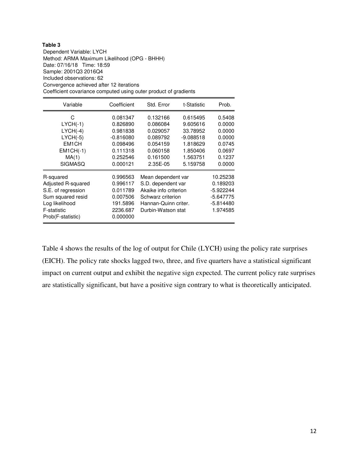Dependent Variable: LYCH Method: ARMA Maximum Likelihood (OPG - BHHH) Date: 07/16/18 Time: 18:59 Sample: 2001Q3 2016Q4 Included observations: 62 Convergence achieved after 12 iterations Coefficient covariance computed using outer product of gradients

| Variable                                                                                                                         | Coefficient                                                                                     | Std. Error                                                                                                                                                   | t-Statistic                                                                         | Prob.                                                                         |
|----------------------------------------------------------------------------------------------------------------------------------|-------------------------------------------------------------------------------------------------|--------------------------------------------------------------------------------------------------------------------------------------------------------------|-------------------------------------------------------------------------------------|-------------------------------------------------------------------------------|
| C.<br>$LYCH(-1)$<br>$LYCH(-4)$<br>$LYCH(-5)$<br>EM <sub>1</sub> CH<br>$EM1CH(-1)$<br>MA(1)<br><b>SIGMASQ</b>                     | 0.081347<br>0.826890<br>0.981838<br>$-0.816080$<br>0.098496<br>0.111318<br>0.252546<br>0.000121 | 0.132166<br>0.086084<br>0.029057<br>0.089792<br>0.054159<br>0.060158<br>0.161500                                                                             | 0.615495<br>9.605616<br>33.78952<br>$-9.088518$<br>1.818629<br>1.850406<br>1.563751 | 0.5408<br>0.0000<br>0.0000<br>0.0000<br>0.0745<br>0.0697<br>0.1237<br>0.0000  |
| R-squared<br>Adjusted R-squared<br>S.E. of regression<br>Sum squared resid<br>Log likelihood<br>F-statistic<br>Prob(F-statistic) | 0.996563<br>0.996117<br>0.011789<br>0.007506<br>191.5896<br>2236.687<br>0.000000                | 2.35E-05<br>5.159758<br>Mean dependent var<br>S.D. dependent var<br>Akaike info criterion<br>Schwarz criterion<br>Hannan-Quinn criter.<br>Durbin-Watson stat |                                                                                     | 10.25238<br>0.189203<br>$-5.922244$<br>$-5.647775$<br>$-5.814480$<br>1.974585 |

Table 4 shows the results of the log of output for Chile (LYCH) using the policy rate surprises (EICH). The policy rate shocks lagged two, three, and five quarters have a statistical significant impact on current output and exhibit the negative sign expected. The current policy rate surprises are statistically significant, but have a positive sign contrary to what is theoretically anticipated.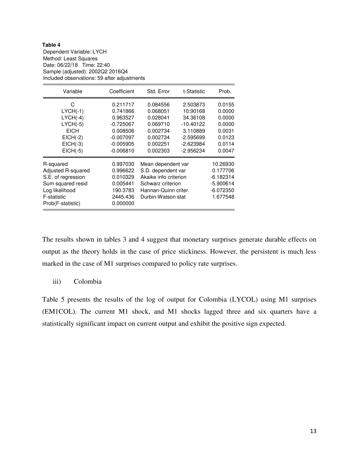Dependent Variable: LYCH Method: Least Squares Date: 06/22/18 Time: 22:40 Sample (adjusted): 2002Q2 2016Q4 Included observations: 59 after adjustments

| Variable                                                                                                                         | Coefficient                                                                                              | Std. Error                                                                                                                           | Prob.                                                                                                |                                                                               |
|----------------------------------------------------------------------------------------------------------------------------------|----------------------------------------------------------------------------------------------------------|--------------------------------------------------------------------------------------------------------------------------------------|------------------------------------------------------------------------------------------------------|-------------------------------------------------------------------------------|
| C<br>$LYCH(-1)$<br>$LYCH(-4)$<br>$LYCH(-5)$<br><b>EICH</b><br>$EICH(-2)$<br>$EICH(-3)$<br>$EICH(-5)$                             | 0.211717<br>0.741866<br>0.963527<br>$-0.725067$<br>0.008506<br>$-0.007097$<br>$-0.005905$<br>$-0.006810$ | 0.084556<br>0.068051<br>0.028041<br>0.069710<br>0.002734<br>0.002734<br>0.002251<br>0.002303                                         | 2.503873<br>10.90168<br>34.36108<br>-10.40122<br>3.110889<br>$-2.595699$<br>-2.623984<br>$-2.956234$ | 0.0155<br>0.0000<br>0.0000<br>0.0000<br>0.0031<br>0.0123<br>0.0114<br>0.0047  |
| R-squared<br>Adjusted R-squared<br>S.E. of regression<br>Sum squared resid<br>Log likelihood<br>F-statistic<br>Prob(F-statistic) | 0.997030<br>0.996622<br>0.010329<br>0.005441<br>190.3783<br>2445.436<br>0.000000                         | Mean dependent var<br>S.D. dependent var<br>Akaike info criterion<br>Schwarz criterion<br>Hannan-Quinn criter.<br>Durbin-Watson stat |                                                                                                      | 10.26930<br>0.177706<br>$-6.182314$<br>$-5.900614$<br>$-6.072350$<br>1.677548 |

The results shown in tables 3 and 4 suggest that monetary surprises generate durable effects on output as the theory holds in the case of price stickiness. However, the persistent is much less marked in the case of M1 surprises compared to policy rate surprises.

## iii) Colombia

Table 5 presents the results of the log of output for Colombia (LYCOL) using M1 surprises (EM1COL). The current M1 shock, and M1 shocks lagged three and six quarters have a statistically significant impact on current output and exhibit the positive sign expected.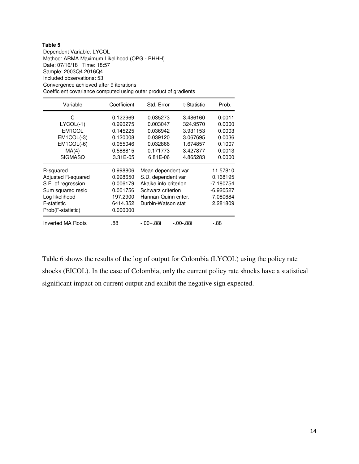Dependent Variable: LYCOL Method: ARMA Maximum Likelihood (OPG - BHHH) Date: 07/16/18 Time: 18:57 Sample: 2003Q4 2016Q4 Included observations: 53 Convergence achieved after 9 iterations Coefficient covariance computed using outer product of gradients

| Variable                  | Coefficient | Std. Error            | Prob.           |             |
|---------------------------|-------------|-----------------------|-----------------|-------------|
| C                         | 0.122969    | 0.035273              | 0.0011          |             |
| $LYCOL(-1)$               | 0.990275    | 0.003047              | 324.9570        | 0.0000      |
| EM1COL                    | 0.145225    | 0.036942              | 3.931153        | 0.0003      |
| $EM1COL(-3)$              | 0.120008    | 0.039120              | 3.067695        | 0.0036      |
| $EM1COL(-6)$              | 0.055046    | 0.032866              | 1.674857        | 0.1007      |
| MA(4)                     | $-0.588815$ | 0.171773              | $-3.427877$     | 0.0013      |
| <b>SIGMASQ</b>            | 3.31E-05    | 6.81E-06              | 4.865283        | 0.0000      |
| R-squared                 | 0.998806    | Mean dependent var    |                 | 11.57810    |
| <b>Adjusted R-squared</b> | 0.998650    | S.D. dependent var    |                 | 0.168195    |
| S.E. of regression        | 0.006179    | Akaike info criterion |                 | $-7.180754$ |
| Sum squared resid         | 0.001756    | Schwarz criterion     |                 | $-6.920527$ |
| Log likelihood            | 197.2900    | Hannan-Quinn criter.  |                 | -7.080684   |
| F-statistic               | 6414.352    | Durbin-Watson stat    | 2.281809        |             |
| Prob(F-statistic)         | 0.000000    |                       |                 |             |
| <b>Inverted MA Roots</b>  | .88         | $-0.00 + 0.88i$       | $-0.00 - 0.88i$ | -.88        |

Table 6 shows the results of the log of output for Colombia (LYCOL) using the policy rate shocks (EICOL). In the case of Colombia, only the current policy rate shocks have a statistical significant impact on current output and exhibit the negative sign expected.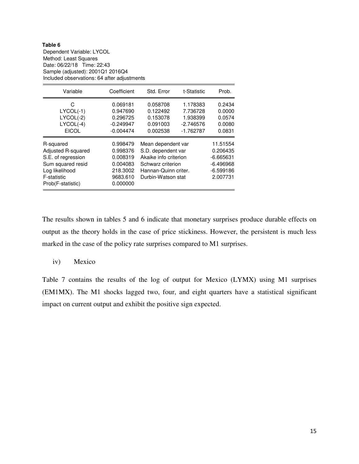#### **Table 6**  Dependent Variable: LYCOL Method: Least Squares Date: 06/22/18 Time: 22:43 Sample (adjusted): 2001Q1 2016Q4 Included observations: 64 after adjustments

| Variable                                                                                                                         | Coefficient                                                                      | Std. Error<br>t-Statistic                                                                                                            |  | Prob.                                                                         |
|----------------------------------------------------------------------------------------------------------------------------------|----------------------------------------------------------------------------------|--------------------------------------------------------------------------------------------------------------------------------------|--|-------------------------------------------------------------------------------|
| С<br>$LYCOL(-1)$<br>$LYCOL(-2)$<br>$LYCOL(-4)$<br><b>EICOL</b>                                                                   | 0.069181<br>0.947690<br>0.296725<br>$-0.249947$<br>$-0.004474$                   | 0.058708<br>1.178383<br>0.122492<br>7.736728<br>0.153078<br>1.938399<br>0.091003<br>$-2.746576$<br>0.002538<br>$-1.762787$           |  | 0.2434<br>0.0000<br>0.0574<br>0.0080<br>0.0831                                |
| R-squared<br>Adjusted R-squared<br>S.E. of regression<br>Sum squared resid<br>Log likelihood<br>F-statistic<br>Prob(F-statistic) | 0.998479<br>0.998376<br>0.008319<br>0.004083<br>218,3002<br>9683.610<br>0.000000 | Mean dependent var<br>S.D. dependent var<br>Akaike info criterion<br>Schwarz criterion<br>Hannan-Quinn criter.<br>Durbin-Watson stat |  | 11.51554<br>0.206435<br>$-6.665631$<br>$-6.496968$<br>$-6.599186$<br>2.007731 |

The results shown in tables 5 and 6 indicate that monetary surprises produce durable effects on output as the theory holds in the case of price stickiness. However, the persistent is much less marked in the case of the policy rate surprises compared to M1 surprises.

## iv) Mexico

Table 7 contains the results of the log of output for Mexico (LYMX) using M1 surprises (EM1MX). The M1 shocks lagged two, four, and eight quarters have a statistical significant impact on current output and exhibit the positive sign expected.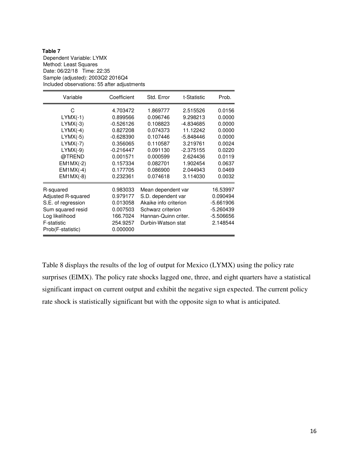Dependent Variable: LYMX Method: Least Squares Date: 06/22/18 Time: 22:35 Sample (adjusted): 2003Q2 2016Q4 Included observations: 55 after adjustments

| Variable           | Coefficient | Std. Error            | Prob.       |             |
|--------------------|-------------|-----------------------|-------------|-------------|
| C                  | 4.703472    | 1.869777<br>2.515526  |             | 0.0156      |
| $LYMX(-1)$         | 0.899566    | 0.096746              | 9.298213    | 0.0000      |
| $LYMX(-3)$         | $-0.526126$ | 0.108823              | -4.834685   | 0.0000      |
| $LYMX(-4)$         | 0.827208    | 0.074373              | 11.12242    | 0.0000      |
| $LYMX(-5)$         | $-0.628390$ | 0.107446              | -5.848446   | 0.0000      |
| $LYMX(-7)$         | 0.356065    | 0.110587              | 3.219761    | 0.0024      |
| $LYMX(-9)$         | $-0.216447$ | 0.091130              | $-2.375155$ | 0.0220      |
| @TREND             | 0.001571    | 0.000599<br>2.624436  |             | 0.0119      |
| $EM1MX(-2)$        | 0.157334    | 0.082701              | 1.902454    | 0.0637      |
| $EM1MX(-4)$        | 0.177705    | 0.086900              | 2.044943    | 0.0469      |
| $EM1MX(-8)$        | 0.232361    | 0.074618              | 3.114030    | 0.0032      |
| R-squared          | 0.983033    | Mean dependent var    |             | 16.53997    |
| Adjusted R-squared | 0.979177    | S.D. dependent var    |             | 0.090494    |
| S.E. of regression | 0.013058    | Akaike info criterion |             | $-5.661906$ |
| Sum squared resid  | 0.007503    | Schwarz criterion     |             | $-5.260439$ |
| Log likelihood     | 166.7024    | Hannan-Quinn criter.  | -5.506656   |             |
| F-statistic        | 254.9257    | Durbin-Watson stat    | 2.148544    |             |
| Prob(F-statistic)  | 0.000000    |                       |             |             |

Table 8 displays the results of the log of output for Mexico (LYMX) using the policy rate surprises (EIMX). The policy rate shocks lagged one, three, and eight quarters have a statistical significant impact on current output and exhibit the negative sign expected. The current policy rate shock is statistically significant but with the opposite sign to what is anticipated.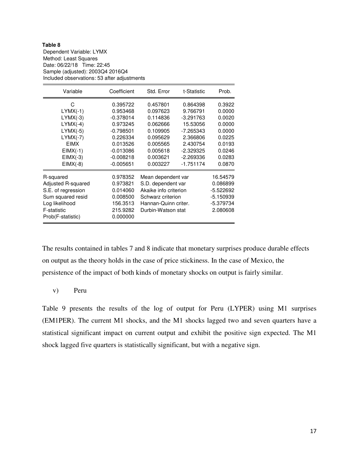Dependent Variable: LYMX Method: Least Squares Date: 06/22/18 Time: 22:45 Sample (adjusted): 2003Q4 2016Q4 Included observations: 53 after adjustments

| Variable           | Coefficient | Std. Error<br>t-Statistic |             | Prob.       |
|--------------------|-------------|---------------------------|-------------|-------------|
| C                  | 0.395722    | 0.457801<br>0.864398      |             | 0.3922      |
| $LYMX(-1)$         | 0.953468    | 0.097623                  | 9.766791    | 0.0000      |
| $LYMX(-3)$         | $-0.378014$ | 0.114836                  | $-3.291763$ | 0.0020      |
| $LYMX(-4)$         | 0.973245    | 0.062666                  | 15.53056    | 0.0000      |
| $LYMX(-5)$         | $-0.798501$ | 0.109905                  | -7.265343   | 0.0000      |
| $LYMX(-7)$         | 0.226334    | 0.095629                  | 2.366806    | 0.0225      |
| <b>EIMX</b>        | 0.013526    | 0.005565<br>2.430754      |             | 0.0193      |
| $EIMX(-1)$         | $-0.013086$ | 0.005618<br>-2.329325     |             | 0.0246      |
| $EIMX(-3)$         | $-0.008218$ | 0.003621                  | -2.269336   | 0.0283      |
| $EIMX(-8)$         | $-0.005651$ | 0.003227<br>$-1.751174$   |             | 0.0870      |
| R-squared          | 0.978352    | Mean dependent var        |             | 16.54579    |
| Adjusted R-squared | 0.973821    | S.D. dependent var        |             | 0.086899    |
| S.E. of regression | 0.014060    | Akaike info criterion     |             | $-5.522692$ |
| Sum squared resid  | 0.008500    | Schwarz criterion         |             | -5.150939   |
| Log likelihood     | 156.3513    | Hannan-Quinn criter.      |             | -5.379734   |
| F-statistic        | 215.9282    | Durbin-Watson stat        | 2.080608    |             |
| Prob(F-statistic)  | 0.000000    |                           |             |             |

The results contained in tables 7 and 8 indicate that monetary surprises produce durable effects on output as the theory holds in the case of price stickiness. In the case of Mexico, the persistence of the impact of both kinds of monetary shocks on output is fairly similar.

## v) Peru

Table 9 presents the results of the log of output for Peru (LYPER) using M1 surprises (EM1PER). The current M1 shocks, and the M1 shocks lagged two and seven quarters have a statistical significant impact on current output and exhibit the positive sign expected. The M1 shock lagged five quarters is statistically significant, but with a negative sign.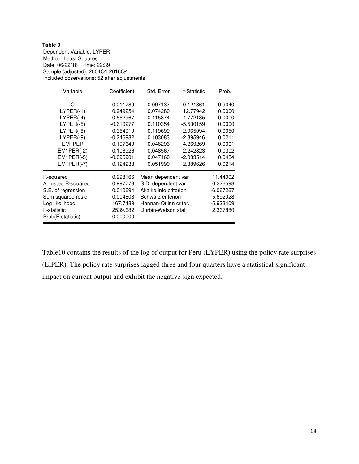Dependent Variable: LYPER Method: Least Squares Date: 06/22/18 Time: 22:39 Sample (adjusted): 2004Q1 2016Q4 Included observations: 52 after adjustments

| Variable                                                                                                                               | Coefficient                                                                                                                   | Std. Error<br>t-Statistic                                                                                                            |                                                                                                                           | Prob.                                                                                            |
|----------------------------------------------------------------------------------------------------------------------------------------|-------------------------------------------------------------------------------------------------------------------------------|--------------------------------------------------------------------------------------------------------------------------------------|---------------------------------------------------------------------------------------------------------------------------|--------------------------------------------------------------------------------------------------|
| С<br>$LYPER(-1)$<br>$LYPER(-4)$<br>$LYPER(-5)$<br>$LYPER(-8)$<br>$LYPER(-9)$<br>EM1PER<br>$EM1PER(-2)$<br>$EM1PER(-5)$<br>$EM1PER(-7)$ | 0.011789<br>0.949254<br>0.552967<br>$-0.610277$<br>0.354919<br>$-0.246982$<br>0.197649<br>0.108926<br>$-0.095901$<br>0.124238 | 0.097137<br>0.074280<br>0.115874<br>0.110354<br>0.119699<br>0.103083<br>0.046296<br>0.048567<br>0.047160<br>0.051990                 | 0.121361<br>12.77942<br>4.772135<br>-5.530159<br>2.965094<br>-2.395946<br>4.269269<br>2.242823<br>$-2.033514$<br>2.389626 | 0.9040<br>0.0000<br>0.0000<br>0.0000<br>0.0050<br>0.0211<br>0.0001<br>0.0302<br>0.0484<br>0.0214 |
| R-squared<br>Adjusted R-squared<br>S.E. of regression<br>Sum squared resid<br>Log likelihood<br>F-statistic<br>Prob(F-statistic)       | 0.998166<br>0.997773<br>0.010694<br>0.004803<br>167.7489<br>2539.682<br>0.000000                                              | Mean dependent var<br>S.D. dependent var<br>Akaike info criterion<br>Schwarz criterion<br>Hannan-Quinn criter.<br>Durbin-Watson stat |                                                                                                                           | 11.44002<br>0.226598<br>$-6.067267$<br>-5.692028<br>$-5.923409$<br>2.367880                      |

Table10 contains the results of the log of output for Peru (LYPER) using the policy rate surprises (EIPER). The policy rate surprises lagged three and four quarters have a statistical significant impact on current output and exhibit the negative sign expected.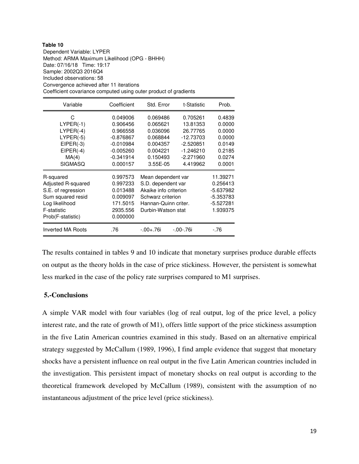Dependent Variable: LYPER Method: ARMA Maximum Likelihood (OPG - BHHH) Date: 07/16/18 Time: 19:17 Sample: 2002Q3 2016Q4 Included observations: 58 Convergence achieved after 11 iterations Coefficient covariance computed using outer product of gradients

| Variable                 | Coefficient | Std. Error            | Prob.        |           |
|--------------------------|-------------|-----------------------|--------------|-----------|
| С                        | 0.049006    | 0.069486              | 0.4839       |           |
| $LYPER(-1)$              | 0.906456    | 0.065621              | 13.81353     | 0.0000    |
| $LYPER(-4)$              | 0.966558    | 0.036096              | 26.77765     | 0.0000    |
| $LYPER(-5)$              | $-0.876867$ | 0.068844              | $-12.73703$  | 0.0000    |
| $EIPER(-3)$              | $-0.010984$ | 0.004357              | $-2.520851$  | 0.0149    |
| $EIPER(-4)$              | $-0.005260$ | 0.004221              | $-1.246210$  | 0.2185    |
| MA(4)                    | $-0.341914$ | 0.150493              | $-2.271960$  | 0.0274    |
| <b>SIGMASQ</b>           | 0.000157    | 3.55E-05              | 4.419962     | 0.0001    |
| R-squared                | 0.997573    | Mean dependent var    |              | 11.39271  |
| Adjusted R-squared       | 0.997233    | S.D. dependent var    |              | 0.256413  |
| S.E. of regression       | 0.013488    | Akaike info criterion |              | -5.637982 |
| Sum squared resid        | 0.009097    | Schwarz criterion     |              | -5.353783 |
| Log likelihood           | 171.5015    | Hannan-Quinn criter.  |              | -5.527281 |
| F-statistic              | 2935.556    | Durbin-Watson stat    | 1.939375     |           |
| Prob(F-statistic)        | 0.000000    |                       |              |           |
| <b>Inverted MA Roots</b> | .76         | $-0.0 + 0.76i$        | $-.00-.76$ i | -.76      |

The results contained in tables 9 and 10 indicate that monetary surprises produce durable effects on output as the theory holds in the case of price stickiness. However, the persistent is somewhat less marked in the case of the policy rate surprises compared to M1 surprises.

## **5.-Conclusions**

A simple VAR model with four variables (log of real output, log of the price level, a policy interest rate, and the rate of growth of M1), offers little support of the price stickiness assumption in the five Latin American countries examined in this study. Based on an alternative empirical strategy suggested by McCallum (1989, 1996), I find ample evidence that suggest that monetary shocks have a persistent influence on real output in the five Latin American countries included in the investigation. This persistent impact of monetary shocks on real output is according to the theoretical framework developed by McCallum (1989), consistent with the assumption of no instantaneous adjustment of the price level (price stickiness).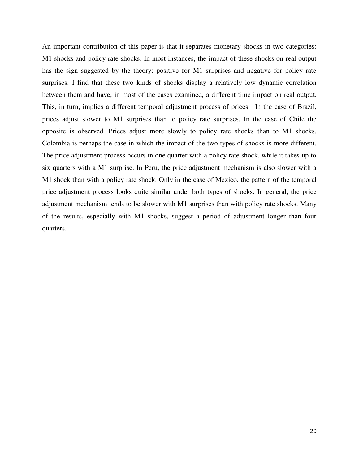An important contribution of this paper is that it separates monetary shocks in two categories: M1 shocks and policy rate shocks. In most instances, the impact of these shocks on real output has the sign suggested by the theory: positive for M1 surprises and negative for policy rate surprises. I find that these two kinds of shocks display a relatively low dynamic correlation between them and have, in most of the cases examined, a different time impact on real output. This, in turn, implies a different temporal adjustment process of prices. In the case of Brazil, prices adjust slower to M1 surprises than to policy rate surprises. In the case of Chile the opposite is observed. Prices adjust more slowly to policy rate shocks than to M1 shocks. Colombia is perhaps the case in which the impact of the two types of shocks is more different. The price adjustment process occurs in one quarter with a policy rate shock, while it takes up to six quarters with a M1 surprise. In Peru, the price adjustment mechanism is also slower with a M1 shock than with a policy rate shock. Only in the case of Mexico, the pattern of the temporal price adjustment process looks quite similar under both types of shocks. In general, the price adjustment mechanism tends to be slower with M1 surprises than with policy rate shocks. Many of the results, especially with M1 shocks, suggest a period of adjustment longer than four quarters.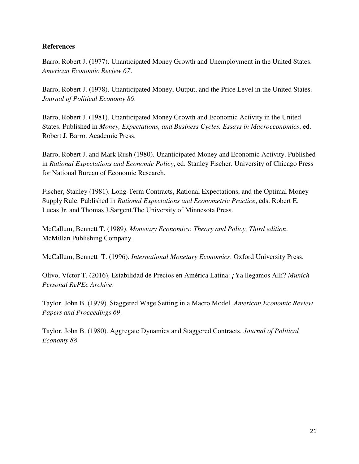## **References**

Barro, Robert J. (1977). Unanticipated Money Growth and Unemployment in the United States. *American Economic Review 67*.

Barro, Robert J. (1978). Unanticipated Money, Output, and the Price Level in the United States. *Journal of Political Economy 86*.

Barro, Robert J. (1981). Unanticipated Money Growth and Economic Activity in the United States. Published in *Money, Expectations, and Business Cycles. Essays in Macroeconomics*, ed. Robert J. Barro. Academic Press.

Barro, Robert J. and Mark Rush (1980). Unanticipated Money and Economic Activity. Published in *Rational Expectations and Economic Policy*, ed. Stanley Fischer. University of Chicago Press for National Bureau of Economic Research.

Fischer, Stanley (1981). Long-Term Contracts, Rational Expectations, and the Optimal Money Supply Rule. Published in *Rational Expectations and Econometric Practice*, eds. Robert E. Lucas Jr. and Thomas J.Sargent.The University of Minnesota Press.

McCallum, Bennett T. (1989). *Monetary Economics: Theory and Policy. Third edition*. McMillan Publishing Company.

McCallum, Bennett T. (1996). *International Monetary Economics*. Oxford University Press.

Olivo, Víctor T. (2016). Estabilidad de Precios en América Latina: ¿Ya llegamos Allí? *Munich Personal RePEc Archive*.

Taylor, John B. (1979). Staggered Wage Setting in a Macro Model. *American Economic Review Papers and Proceedings 69*.

Taylor, John B. (1980). Aggregate Dynamics and Staggered Contracts. *Journal of Political Economy 88*.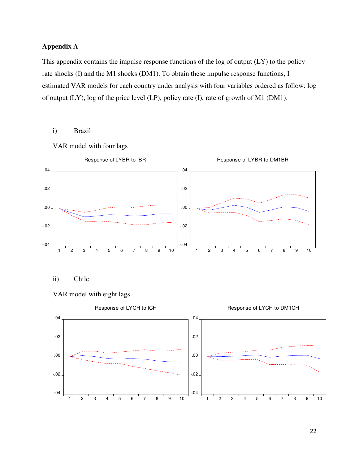# **Appendix A**

This appendix contains the impulse response functions of the log of output (LY) to the policy rate shocks (I) and the M1 shocks (DM1). To obtain these impulse response functions, I estimated VAR models for each country under analysis with four variables ordered as follow: log of output (LY), log of the price level (LP), policy rate (I), rate of growth of M1 (DM1).

## i) Brazil

VAR model with four lags



ii) Chile



## VAR model with eight lags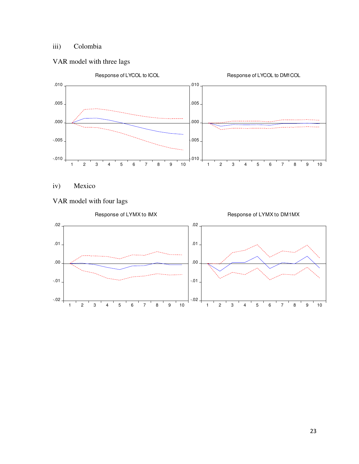# iii) Colombia

## VAR model with three lags



iv) Mexico

# VAR model with four lags

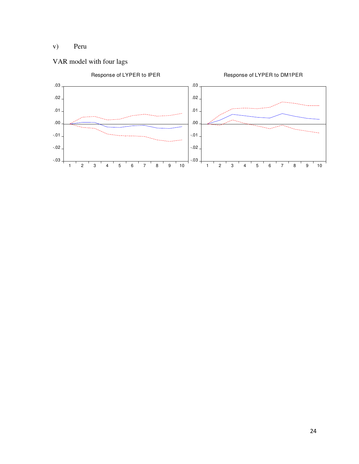# v) Peru

# VAR model with four lags

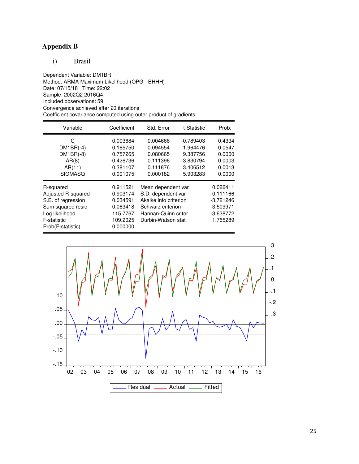# **Appendix B**

i) Brasil

Dependent Variable: DM1BR Method: ARMA Maximum Likelihood (OPG - BHHH) Date: 07/15/18 Time: 22:02 Sample: 2002Q2 2016Q4 Included observations: 59 Convergence achieved after 20 iterations Coefficient covariance computed using outer product of gradients

| Variable                                                                                                                         | Coefficient                                                                      | Std. Error                                                                                                                                         | Prob. |                                                                               |
|----------------------------------------------------------------------------------------------------------------------------------|----------------------------------------------------------------------------------|----------------------------------------------------------------------------------------------------------------------------------------------------|-------|-------------------------------------------------------------------------------|
| C.<br>$DM1BR(-4)$<br>$DM1BR(-8)$<br>AR(8)<br>AR(11)<br><b>SIGMASQ</b>                                                            | $-0.003684$<br>0.185750<br>0.757265<br>$-0.426736$<br>0.381107<br>0.001075       | 0.004666<br>$-0.789403$<br>1.964476<br>0.094554<br>9.387756<br>0.080665<br>0.111396<br>$-3.830794$<br>0.111876<br>3.406512<br>0.000182<br>5.903283 |       | 0.4334<br>0.0547<br>0.0000<br>0.0003<br>0.0013<br>0.0000                      |
| R-squared<br>Adjusted R-squared<br>S.E. of regression<br>Sum squared resid<br>Log likelihood<br>F-statistic<br>Prob(F-statistic) | 0.911521<br>0.903174<br>0.034591<br>0.063418<br>115.7767<br>109.2025<br>0.000000 | Mean dependent var<br>S.D. dependent var<br>Akaike info criterion<br>Schwarz criterion<br>Hannan-Quinn criter.<br>Durbin-Watson stat               |       | 0.026411<br>0.111166<br>$-3.721246$<br>$-3.509971$<br>$-3.638772$<br>1.755289 |

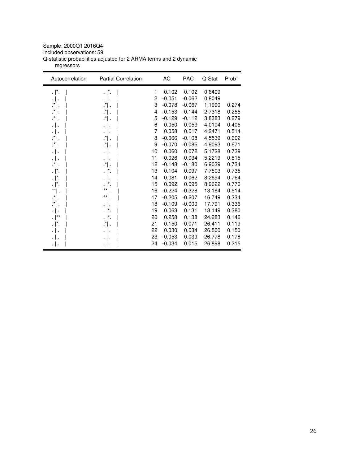## Sample: 2000Q1 2016Q4

Included observations: 59

Q-statistic probabilities adjusted for 2 ARMA terms and 2 dynamic

regressors

| Autocorrelation      | <b>Partial Correlation</b> |    | AC       | <b>PAC</b> | Q-Stat | Prob* |
|----------------------|----------------------------|----|----------|------------|--------|-------|
| $\cdot$  *.          | $\cdot$  *.                | 1  | 0.102    | 0.102      | 0.6409 |       |
| .   .                |                            | 2  | $-0.051$ | $-0.062$   | 0.8049 |       |
| $\cdot$ $\vert$ .    | $\cdot$ .                  | 3  | $-0.078$ | $-0.067$   | 1.1990 | 0.274 |
| $\cdot$ .            | $\cdot$ .                  | 4  | $-0.153$ | $-0.144$   | 2.7318 | 0.255 |
| $\cdot$ .            | $\cdot$ .                  | 5  | $-0.129$ | $-0.112$   | 3.8383 | 0.279 |
| .   .                | $\cdot$                    | 6  | 0.050    | 0.053      | 4.0104 | 0.405 |
| .   .                | $\cdot$                    | 7  | 0.058    | 0.017      | 4.2471 | 0.514 |
| .*  .                | ∴" ∴                       | 8  | $-0.066$ | $-0.108$   | 4.5539 | 0.602 |
| .*  .                | ∴" .                       | 9  | $-0.070$ | $-0.085$   | 4.9093 | 0.671 |
| .   .                | $\cdot$                    | 10 | 0.060    | 0.072      | 5.1728 | 0.739 |
| .                    | ٠١.                        | 11 | $-0.026$ | $-0.034$   | 5.2219 | 0.815 |
| .*  .                | ∴" .                       | 12 | $-0.148$ | $-0.180$   | 6.9039 | 0.734 |
| $\cdot$  *.          | $\cdot$  *.                | 13 | 0.104    | 0.097      | 7.7503 | 0.735 |
| $\cdot$  *.          |                            | 14 | 0.081    | 0.062      | 8.2694 | 0.764 |
| . ∣*.                | $\cdot$  *.                | 15 | 0.092    | 0.095      | 8.9622 | 0.776 |
| $^{\star\star}$      | **                         | 16 | $-0.224$ | $-0.328$   | 13.164 | 0.514 |
| $\cdot$ .            | $^{\star\star}$            | 17 | $-0.205$ | $-0.207$   | 16.749 | 0.334 |
| $\cdot$ $\vert$ .    | $\cdot$                    | 18 | $-0.109$ | $-0.000$   | 17.791 | 0.336 |
| $\cdot$ .            | $\cdot$  *.                | 19 | 0.063    | 0.131      | 18.149 | 0.380 |
| $\cdot$ $\vert^{**}$ | . $\vert^*$ .              | 20 | 0.258    | 0.138      | 24.283 | 0.146 |
| $\cdot$  *.          | ∴" .                       | 21 | 0.150    | $-0.071$   | 26.411 | 0.119 |
| .   .                |                            | 22 | 0.030    | 0.034      | 26.500 | 0.150 |
|                      |                            | 23 | $-0.053$ | 0.039      | 26.778 | 0.178 |
| ٠١.                  | $\cdot \mid \cdot$         | 24 | $-0.034$ | 0.015      | 26.898 | 0.215 |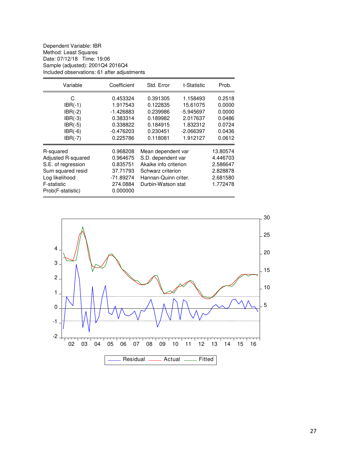Dependent Variable: IBR Method: Least Squares Date: 07/12/18 Time: 19:06 Sample (adjusted): 2001Q4 2016Q4 Included observations: 61 after adjustments

| Variable                                                                                                                                      | Coefficient                                                                                     | Std. Error                                                                                                                                       | t-Statistic                                                                          | Prob.                                                    |
|-----------------------------------------------------------------------------------------------------------------------------------------------|-------------------------------------------------------------------------------------------------|--------------------------------------------------------------------------------------------------------------------------------------------------|--------------------------------------------------------------------------------------|----------------------------------------------------------|
| C<br>$IBR(-1)$<br>$IBR(-2)$<br>$IBR(-3)$<br>$IBR(-5)$<br>$IBR(-6)$                                                                            | 0.453324<br>1.917543<br>$-1.426883$<br>0.383314<br>0.338822<br>$-0.476203$                      | 0.391305<br>0.122835<br>0.239986<br>0.189982<br>0.184915<br>0.230451                                                                             | 1.158493<br>15.61075<br>-5.945697<br>2.017637<br>1.832312<br>$-2.066397$<br>1.912127 | 0.2518<br>0.0000<br>0.0000<br>0.0486<br>0.0724<br>0.0436 |
| $IBR(-7)$<br>R-squared<br>Adjusted R-squared<br>S.E. of regression<br>Sum squared resid<br>Log likelihood<br>F-statistic<br>Prob(F-statistic) | 0.225786<br>0.968208<br>0.964675<br>0.835751<br>37.71793<br>$-71.89274$<br>274.0884<br>0.000000 | 0.118081<br>Mean dependent var<br>S.D. dependent var<br>Akaike info criterion<br>Schwarz criterion<br>Hannan-Quinn criter.<br>Durbin-Watson stat | 0.0612<br>13.80574<br>4.446703<br>2.586647<br>2.828878<br>2.681580<br>1.772478       |                                                          |

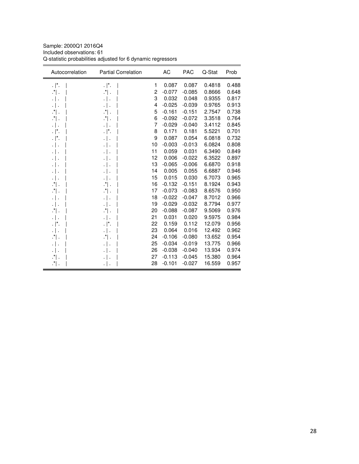Sample: 2000Q1 2016Q4 Included observations: 61 Q-statistic probabilities adjusted for 6 dynamic regressors

| Autocorrelation | <b>Partial Correlation</b> |    | AC       | <b>PAC</b> | Q-Stat | Prob  |
|-----------------|----------------------------|----|----------|------------|--------|-------|
| . $\vert^*$ .   | $\cdot$  *.                | 1  | 0.087    | 0.087      | 0.4818 | 0.488 |
| $\cdot$ .       | $\cdot$ .                  | 2  | $-0.077$ | $-0.085$   | 0.8666 | 0.648 |
| .   .           | $\cdot$   .                | 3  | 0.032    | 0.048      | 0.9355 | 0.817 |
| .               | .   .                      | 4  | $-0.025$ | $-0.039$   | 0.9765 | 0.913 |
| $\cdot$ " .     | $\cdot$ ".                 | 5  | $-0.161$ | $-0.151$   | 2.7547 | 0.738 |
| .*  .           | ∴" ∴                       | 6  | $-0.092$ | $-0.072$   | 3.3518 | 0.764 |
| .               | $\cdot$                    | 7  | $-0.029$ | $-0.040$   | 3.4112 | 0.845 |
| . ا .           | . $\vert^* .$              | 8  | 0.171    | 0.181      | 5.5221 | 0.701 |
| . ا .           | $\cdot$                    | 9  | 0.087    | 0.054      | 6.0818 | 0.732 |
| .   .           | $\cdot$                    | 10 | $-0.003$ | $-0.013$   | 6.0824 | 0.808 |
| .               | .                          | 11 | 0.059    | 0.031      | 6.3490 | 0.849 |
| .   .           | $\cdot$ .                  | 12 | 0.006    | $-0.022$   | 6.3522 | 0.897 |
| .               | $\cdot$ .                  | 13 | $-0.065$ | $-0.006$   | 6.6870 | 0.918 |
| .               | $\cdot$                    | 14 | 0.005    | 0.055      | 6.6887 | 0.946 |
| .   .           | $\cdot$                    | 15 | 0.015    | 0.030      | 6.7073 | 0.965 |
| .*  .           | $\cdot$ .                  | 16 | $-0.132$ | $-0.151$   | 8.1924 | 0.943 |
| ∴" .            | ∴" ∴                       | 17 | $-0.073$ | $-0.083$   | 8.6576 | 0.950 |
| .               | $\cdot$                    | 18 | $-0.022$ | $-0.047$   | 8.7012 | 0.966 |
| ٠١.             | $\cdot$ .                  | 19 | $-0.029$ | $-0.032$   | 8.7794 | 0.977 |
| .*  .           | $\cdot$ .                  | 20 | $-0.088$ | $-0.087$   | 9.5069 | 0.976 |
| .   .           | .   .                      | 21 | 0.031    | 0.020      | 9.5975 | 0.984 |
| . ∣*.           | $\cdot$  *.                | 22 | 0.159    | 0.112      | 12.079 | 0.956 |
| .               | $\cdot$                    | 23 | 0.064    | 0.016      | 12.492 | 0.962 |
| .*  .           | ∴" ∴                       | 24 | $-0.106$ | $-0.080$   | 13.652 | 0.954 |
| .   .           | $\cdot$                    | 25 | $-0.034$ | $-0.019$   | 13.775 | 0.966 |
| .   .           | .   .                      | 26 | $-0.038$ | $-0.040$   | 13.934 | 0.974 |
| ∴" ∴            |                            | 27 | $-0.113$ | $-0.045$   | 15.380 | 0.964 |
| $\cdot^*$ .     | $\cdot$ .                  | 28 | $-0.101$ | $-0.027$   | 16.559 | 0.957 |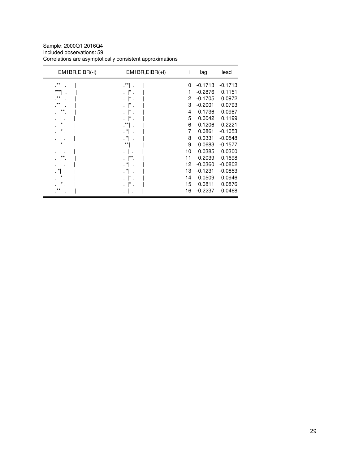Sample: 2000Q1 2016Q4 Included observations: 59 Correlations are asymptotically consistent approximations

| EM1BR, EIBR(-i) | $EM1BR, EIBR(+i)$    | Ť  | lag       | lead      |
|-----------------|----------------------|----|-----------|-----------|
| .**             | .**                  | 0  | $-0.1713$ | $-0.1713$ |
| $***$           |                      | 1  | $-0.2876$ | 0.1151    |
| $***$           |                      | 2  | $-0.1705$ | 0.0972    |
| .**             |                      | 3  | $-0.2001$ | 0.0793    |
| **              |                      | 4  | 0.1736    | 0.0987    |
|                 |                      | 5  | 0.0042    | 0.1199    |
|                 |                      | 6  | 0.1206    | $-0.2221$ |
|                 | $\cdot$ <sup>*</sup> | 7  | 0.0861    | $-0.1053$ |
|                 | $\cdot$ <sup>*</sup> | 8  | 0.0331    | $-0.0548$ |
|                 | $\cdot$ **           | 9  | 0.0683    | $-0.1577$ |
|                 |                      | 10 | 0.0385    | 0.0300    |
| **              | ;**                  | 11 | 0.2039    | 0.1698    |
|                 |                      | 12 | $-0.0360$ | $-0.0802$ |
|                 |                      | 13 | $-0.1231$ | $-0.0853$ |
|                 |                      | 14 | 0.0509    | 0.0946    |
|                 |                      | 15 | 0.0811    | 0.0876    |
| $***$           |                      | 16 | $-0.2237$ | 0.0468    |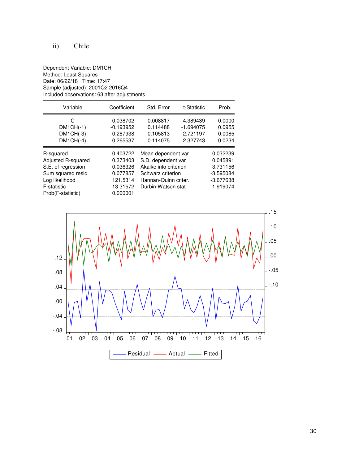# ii) Chile

#### Dependent Variable: DM1CH Method: Least Squares Date: 06/22/18 Time: 17:47 Sample (adjusted): 2001Q2 2016Q4 Included observations: 63 after adjustments

| Variable                                                                                                                         | Coefficient                                                                      | Std. Error                                                                                                                           | t-Statistic                                        | Prob.                                                                         |
|----------------------------------------------------------------------------------------------------------------------------------|----------------------------------------------------------------------------------|--------------------------------------------------------------------------------------------------------------------------------------|----------------------------------------------------|-------------------------------------------------------------------------------|
| C<br>$DM1CH(-1)$<br>$DM1CH(-3)$<br>$DM1CH(-4)$                                                                                   | 0.038702<br>$-0.193952$<br>$-0.287938$<br>0.265537                               | 0.008817<br>0.114488<br>0.105813<br>0.114075                                                                                         | 4.389439<br>$-1.694075$<br>$-2.721197$<br>2.327743 | 0.0000<br>0.0955<br>0.0085<br>0.0234                                          |
| R-squared<br>Adjusted R-squared<br>S.E. of regression<br>Sum squared resid<br>Log likelihood<br>F-statistic<br>Prob(F-statistic) | 0.403722<br>0.373403<br>0.036326<br>0.077857<br>121.5314<br>13.31572<br>0.000001 | Mean dependent var<br>S.D. dependent var<br>Akaike info criterion<br>Schwarz criterion<br>Hannan-Quinn criter.<br>Durbin-Watson stat |                                                    | 0.032239<br>0.045891<br>$-3.731156$<br>$-3.595084$<br>$-3.677638$<br>1.919074 |

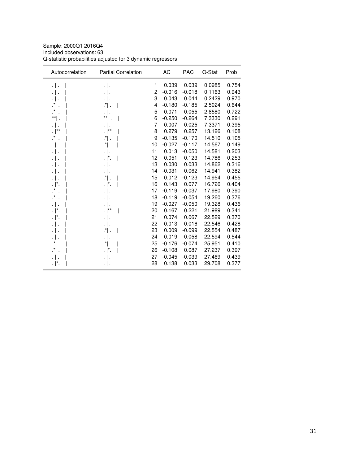Sample: 2000Q1 2016Q4 Included observations: 63 Q-statistic probabilities adjusted for 3 dynamic regressors

| Autocorrelation    | <b>Partial Correlation</b> |    | AC       | <b>PAC</b> | Q-Stat | Prob  |
|--------------------|----------------------------|----|----------|------------|--------|-------|
| $\cdot$ .          | .   .                      | 1  | 0.039    | 0.039      | 0.0985 | 0.754 |
| .                  | $\cdot$ .                  | 2  | $-0.016$ | $-0.018$   | 0.1163 | 0.943 |
| .   .              | $\cdot \mid$ .             | 3  | 0.043    | 0.044      | 0.2429 | 0.970 |
| .*  .              | $\cdot$ .                  | 4  | $-0.180$ | $-0.185$   | 2.5024 | 0.644 |
| $\cdot$ .          | $\cdot$                    | 5  | $-0.071$ | $-0.055$   | 2.8580 | 0.722 |
| $^{\ast\ast}$ .    | $^{\ast\ast}$ .            | 6  | $-0.250$ | $-0.264$   | 7.3330 | 0.291 |
| .                  | $\cdot$                    | 7  | $-0.007$ | 0.025      | 7.3371 | 0.395 |
| . $ ^{\star\star}$ | . $\vert^{**}$             | 8  | 0.279    | 0.257      | 13.126 | 0.108 |
| $\cdot$ .          | $\cdot$ .                  | 9  | $-0.135$ | $-0.170$   | 14.510 | 0.105 |
| $\cdot$ .          | ∴" ∴                       | 10 | $-0.027$ | $-0.117$   | 14.567 | 0.149 |
| $\cdot$ .          | $\cdot$                    | 11 | 0.013    | $-0.050$   | 14.581 | 0.203 |
| .                  | . $\vert^* .$              | 12 | 0.051    | 0.123      | 14.786 | 0.253 |
| .                  | $\cdot$ .                  | 13 | 0.030    | 0.033      | 14.862 | 0.316 |
| .                  | .   .                      | 14 | $-0.031$ | 0.062      | 14.941 | 0.382 |
| .   .              | $\cdot$ .                  | 15 | 0.012    | $-0.123$   | 14.954 | 0.455 |
| $\cdot$  *.        | $\cdot$  *.                | 16 | 0.143    | 0.077      | 16.726 | 0.404 |
| $\cdot$ $\vert$ .  | $\cdot$                    | 17 | $-0.119$ | $-0.037$   | 17.980 | 0.390 |
| $\cdot$ .          | $\cdot$ .                  | 18 | $-0.119$ | $-0.054$   | 19.260 | 0.376 |
| .   .              | $\cdot \mid$ .             | 19 | $-0.027$ | $-0.050$   | 19.328 | 0.436 |
| $\cdot$  *.        | . $\vert^{\star\star}$     | 20 | 0.167    | 0.221      | 21.989 | 0.341 |
| $\cdot$  *.        | .   .                      | 21 | 0.074    | 0.067      | 22.529 | 0.370 |
| .   .              | $\cdot \mid$ .             | 22 | 0.013    | 0.016      | 22.546 | 0.428 |
| .                  | ∴" ∴                       | 23 | 0.009    | $-0.099$   | 22.554 | 0.487 |
| .   .              | $\cdot$                    | 24 | 0.019    | $-0.058$   | 22.594 | 0.544 |
| $\cdot$ .          | $\cdot$ .                  | 25 | $-0.176$ | $-0.074$   | 25.951 | 0.410 |
| ∴" .               | . $\vert^* .$              | 26 | $-0.108$ | 0.087      | 27.237 | 0.397 |
|                    | $\cdot$ .                  | 27 | $-0.045$ | $-0.039$   | 27.469 | 0.439 |
| . $\vert^*$ .      | $\cdot \mid$ .             | 28 | 0.138    | 0.033      | 29.708 | 0.377 |
|                    |                            |    |          |            |        |       |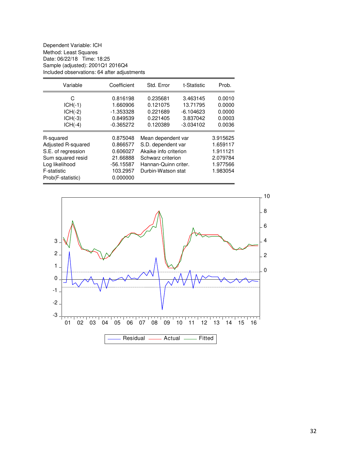Dependent Variable: ICH Method: Least Squares Date: 06/22/18 Time: 18:25 Sample (adjusted): 2001Q1 2016Q4 Included observations: 64 after adjustments

| Variable                                                                                                                         | Coefficient                                                                         | Std. Error                                                                                                                           | Prob.                                                          |                                                                      |
|----------------------------------------------------------------------------------------------------------------------------------|-------------------------------------------------------------------------------------|--------------------------------------------------------------------------------------------------------------------------------------|----------------------------------------------------------------|----------------------------------------------------------------------|
| C<br>$ICH(-1)$<br>$ICH(-2)$<br>$ICH(-3)$<br>$ICH(-4)$                                                                            | 0.816198<br>1.660906<br>$-1.353328$<br>0.849539<br>$-0.365272$                      | 0.235681<br>0.121075<br>0.221689<br>0.221405<br>0.120389                                                                             | 3.463145<br>13.71795<br>$-6.104623$<br>3.837042<br>$-3.034102$ | 0.0010<br>0.0000<br>0.0000<br>0.0003<br>0.0036                       |
| R-squared<br>Adjusted R-squared<br>S.E. of regression<br>Sum squared resid<br>Log likelihood<br>F-statistic<br>Prob(F-statistic) | 0.875048<br>0.866577<br>0.606027<br>21.66888<br>$-56.15587$<br>103.2957<br>0.000000 | Mean dependent var<br>S.D. dependent var<br>Akaike info criterion<br>Schwarz criterion<br>Hannan-Quinn criter.<br>Durbin-Watson stat |                                                                | 3.915625<br>1.659117<br>1.911121<br>2.079784<br>1.977566<br>1.983054 |

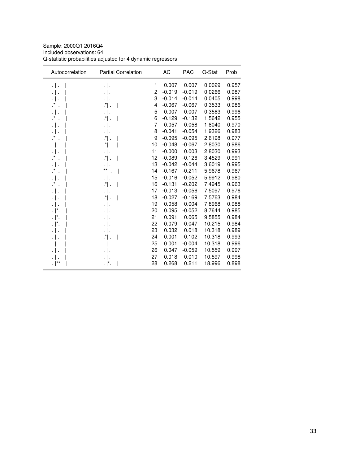Sample: 2000Q1 2016Q4 Included observations: 64 Q-statistic probabilities adjusted for 4 dynamic regressors

| 0.007<br>1<br>0.007<br>0.0029<br>0.957<br>$\cdot$ .<br>.   .<br>2<br>$-0.019$<br>$-0.019$<br>0.0266<br>0.987<br>$\cdot$ .<br>$\cdot$ .<br>3<br>$-0.014$<br>0.0405<br>$-0.014$<br>0.998<br>$\cdot$ .<br>.   .<br>4<br>0.986<br>$\cdot$ .<br>$-0.067$<br>$-0.067$<br>0.3533<br>∴" ∴<br>5<br>0.007<br>0.007<br>0.3563<br>0.996<br>$\cdot$  <br>.   .<br>6<br>$-0.129$<br>$-0.132$<br>1.5642<br>0.955<br>$\cdot$ .<br>∴*∣.<br>7<br>0.057<br>0.058<br>1.8040<br>0.970<br>$\cdot$  <br>.<br>8<br>$-0.041$<br>$-0.054$<br>1.9326<br>0.983<br>$\cdot$  <br>.   .<br>9<br>$-0.095$<br>$-0.095$<br>2.6198<br>0.977<br>.*  .<br>$\cdot$ .<br>0.986<br>10<br>$-0.048$<br>$-0.067$<br>2.8030<br>∴*∣.<br>.   .<br>11<br>0.003<br>0.993<br>$-0.000$<br>2.8030<br>$\cdot$  <br>.<br>12<br>$-0.126$<br>0.991<br>$\cdot$ .<br>$\cdot$ .<br>$-0.089$<br>3.4529<br>13<br>$-0.042$<br>$-0.044$<br>3.6019<br>0.995<br>$\cdot$  <br>.   .<br>$^{\star\star} $ .<br>$-0.167$<br>0.967<br>14<br>$-0.211$<br>5.9678<br>$\cdot$ .<br>15<br>$-0.016$<br>$-0.052$<br>5.9912<br>0.980<br>$\cdot$  <br>.   .<br>16<br>$-0.131$<br>$-0.202$<br>7.4945<br>0.963<br>$\cdot$ .<br>$\cdot$ .<br>17<br>$-0.013$<br>$-0.056$<br>0.976<br>7.5097<br>$\cdot$  <br>.   .<br>18<br>$-0.169$<br>7.5763<br>0.984<br>$\cdot$ .<br>$-0.027$<br>19<br>0.058<br>0.004<br>0.988<br>7.8968<br>$\cdot$  <br>.<br>0.985<br>0.095<br>$-0.052$<br>8.7644<br>$\cdot$  *.<br>20<br>$\cdot$  <br>0.091<br>. $\vert^*$ .<br>21<br>0.065<br>9.5855<br>0.984<br>$\cdot \mid$ .<br>22<br>0.079<br>$-0.047$<br>10.215<br>0.984<br>. ∣*.<br>$\cdot$  <br>23<br>0.032<br>0.018<br>10.318<br>0.989<br>.   .<br>0.001<br>$-0.102$<br>0.993<br>24<br>10.318<br>∴.*<br>.   .<br>0.001<br>10.318<br>0.996<br>25<br>$-0.004$<br>$\cdot$  <br>26<br>0.047<br>$-0.059$<br>10.559<br>0.997<br>$\cdot$ .<br>27<br>0.018<br>0.010<br>10.597<br>0.998<br>. $ ^{\ast\ast}$<br>28<br>0.268<br>0.211<br>18.996<br>0.898<br>$\cdot$  *. | Autocorrelation | <b>Partial Correlation</b> | AC | <b>PAC</b> | Q-Stat | Prob |
|---------------------------------------------------------------------------------------------------------------------------------------------------------------------------------------------------------------------------------------------------------------------------------------------------------------------------------------------------------------------------------------------------------------------------------------------------------------------------------------------------------------------------------------------------------------------------------------------------------------------------------------------------------------------------------------------------------------------------------------------------------------------------------------------------------------------------------------------------------------------------------------------------------------------------------------------------------------------------------------------------------------------------------------------------------------------------------------------------------------------------------------------------------------------------------------------------------------------------------------------------------------------------------------------------------------------------------------------------------------------------------------------------------------------------------------------------------------------------------------------------------------------------------------------------------------------------------------------------------------------------------------------------------------------------------------------------------------------------------------------------------------------------------------------------------------------------------------------------------------------------------------------------------------------------------------------------------|-----------------|----------------------------|----|------------|--------|------|
|                                                                                                                                                                                                                                                                                                                                                                                                                                                                                                                                                                                                                                                                                                                                                                                                                                                                                                                                                                                                                                                                                                                                                                                                                                                                                                                                                                                                                                                                                                                                                                                                                                                                                                                                                                                                                                                                                                                                                         |                 |                            |    |            |        |      |
|                                                                                                                                                                                                                                                                                                                                                                                                                                                                                                                                                                                                                                                                                                                                                                                                                                                                                                                                                                                                                                                                                                                                                                                                                                                                                                                                                                                                                                                                                                                                                                                                                                                                                                                                                                                                                                                                                                                                                         |                 |                            |    |            |        |      |
|                                                                                                                                                                                                                                                                                                                                                                                                                                                                                                                                                                                                                                                                                                                                                                                                                                                                                                                                                                                                                                                                                                                                                                                                                                                                                                                                                                                                                                                                                                                                                                                                                                                                                                                                                                                                                                                                                                                                                         |                 |                            |    |            |        |      |
|                                                                                                                                                                                                                                                                                                                                                                                                                                                                                                                                                                                                                                                                                                                                                                                                                                                                                                                                                                                                                                                                                                                                                                                                                                                                                                                                                                                                                                                                                                                                                                                                                                                                                                                                                                                                                                                                                                                                                         |                 |                            |    |            |        |      |
|                                                                                                                                                                                                                                                                                                                                                                                                                                                                                                                                                                                                                                                                                                                                                                                                                                                                                                                                                                                                                                                                                                                                                                                                                                                                                                                                                                                                                                                                                                                                                                                                                                                                                                                                                                                                                                                                                                                                                         |                 |                            |    |            |        |      |
|                                                                                                                                                                                                                                                                                                                                                                                                                                                                                                                                                                                                                                                                                                                                                                                                                                                                                                                                                                                                                                                                                                                                                                                                                                                                                                                                                                                                                                                                                                                                                                                                                                                                                                                                                                                                                                                                                                                                                         |                 |                            |    |            |        |      |
|                                                                                                                                                                                                                                                                                                                                                                                                                                                                                                                                                                                                                                                                                                                                                                                                                                                                                                                                                                                                                                                                                                                                                                                                                                                                                                                                                                                                                                                                                                                                                                                                                                                                                                                                                                                                                                                                                                                                                         |                 |                            |    |            |        |      |
|                                                                                                                                                                                                                                                                                                                                                                                                                                                                                                                                                                                                                                                                                                                                                                                                                                                                                                                                                                                                                                                                                                                                                                                                                                                                                                                                                                                                                                                                                                                                                                                                                                                                                                                                                                                                                                                                                                                                                         |                 |                            |    |            |        |      |
|                                                                                                                                                                                                                                                                                                                                                                                                                                                                                                                                                                                                                                                                                                                                                                                                                                                                                                                                                                                                                                                                                                                                                                                                                                                                                                                                                                                                                                                                                                                                                                                                                                                                                                                                                                                                                                                                                                                                                         |                 |                            |    |            |        |      |
|                                                                                                                                                                                                                                                                                                                                                                                                                                                                                                                                                                                                                                                                                                                                                                                                                                                                                                                                                                                                                                                                                                                                                                                                                                                                                                                                                                                                                                                                                                                                                                                                                                                                                                                                                                                                                                                                                                                                                         |                 |                            |    |            |        |      |
|                                                                                                                                                                                                                                                                                                                                                                                                                                                                                                                                                                                                                                                                                                                                                                                                                                                                                                                                                                                                                                                                                                                                                                                                                                                                                                                                                                                                                                                                                                                                                                                                                                                                                                                                                                                                                                                                                                                                                         |                 |                            |    |            |        |      |
|                                                                                                                                                                                                                                                                                                                                                                                                                                                                                                                                                                                                                                                                                                                                                                                                                                                                                                                                                                                                                                                                                                                                                                                                                                                                                                                                                                                                                                                                                                                                                                                                                                                                                                                                                                                                                                                                                                                                                         |                 |                            |    |            |        |      |
|                                                                                                                                                                                                                                                                                                                                                                                                                                                                                                                                                                                                                                                                                                                                                                                                                                                                                                                                                                                                                                                                                                                                                                                                                                                                                                                                                                                                                                                                                                                                                                                                                                                                                                                                                                                                                                                                                                                                                         |                 |                            |    |            |        |      |
|                                                                                                                                                                                                                                                                                                                                                                                                                                                                                                                                                                                                                                                                                                                                                                                                                                                                                                                                                                                                                                                                                                                                                                                                                                                                                                                                                                                                                                                                                                                                                                                                                                                                                                                                                                                                                                                                                                                                                         |                 |                            |    |            |        |      |
|                                                                                                                                                                                                                                                                                                                                                                                                                                                                                                                                                                                                                                                                                                                                                                                                                                                                                                                                                                                                                                                                                                                                                                                                                                                                                                                                                                                                                                                                                                                                                                                                                                                                                                                                                                                                                                                                                                                                                         |                 |                            |    |            |        |      |
|                                                                                                                                                                                                                                                                                                                                                                                                                                                                                                                                                                                                                                                                                                                                                                                                                                                                                                                                                                                                                                                                                                                                                                                                                                                                                                                                                                                                                                                                                                                                                                                                                                                                                                                                                                                                                                                                                                                                                         |                 |                            |    |            |        |      |
|                                                                                                                                                                                                                                                                                                                                                                                                                                                                                                                                                                                                                                                                                                                                                                                                                                                                                                                                                                                                                                                                                                                                                                                                                                                                                                                                                                                                                                                                                                                                                                                                                                                                                                                                                                                                                                                                                                                                                         |                 |                            |    |            |        |      |
|                                                                                                                                                                                                                                                                                                                                                                                                                                                                                                                                                                                                                                                                                                                                                                                                                                                                                                                                                                                                                                                                                                                                                                                                                                                                                                                                                                                                                                                                                                                                                                                                                                                                                                                                                                                                                                                                                                                                                         |                 |                            |    |            |        |      |
|                                                                                                                                                                                                                                                                                                                                                                                                                                                                                                                                                                                                                                                                                                                                                                                                                                                                                                                                                                                                                                                                                                                                                                                                                                                                                                                                                                                                                                                                                                                                                                                                                                                                                                                                                                                                                                                                                                                                                         |                 |                            |    |            |        |      |
|                                                                                                                                                                                                                                                                                                                                                                                                                                                                                                                                                                                                                                                                                                                                                                                                                                                                                                                                                                                                                                                                                                                                                                                                                                                                                                                                                                                                                                                                                                                                                                                                                                                                                                                                                                                                                                                                                                                                                         |                 |                            |    |            |        |      |
|                                                                                                                                                                                                                                                                                                                                                                                                                                                                                                                                                                                                                                                                                                                                                                                                                                                                                                                                                                                                                                                                                                                                                                                                                                                                                                                                                                                                                                                                                                                                                                                                                                                                                                                                                                                                                                                                                                                                                         |                 |                            |    |            |        |      |
|                                                                                                                                                                                                                                                                                                                                                                                                                                                                                                                                                                                                                                                                                                                                                                                                                                                                                                                                                                                                                                                                                                                                                                                                                                                                                                                                                                                                                                                                                                                                                                                                                                                                                                                                                                                                                                                                                                                                                         |                 |                            |    |            |        |      |
|                                                                                                                                                                                                                                                                                                                                                                                                                                                                                                                                                                                                                                                                                                                                                                                                                                                                                                                                                                                                                                                                                                                                                                                                                                                                                                                                                                                                                                                                                                                                                                                                                                                                                                                                                                                                                                                                                                                                                         |                 |                            |    |            |        |      |
|                                                                                                                                                                                                                                                                                                                                                                                                                                                                                                                                                                                                                                                                                                                                                                                                                                                                                                                                                                                                                                                                                                                                                                                                                                                                                                                                                                                                                                                                                                                                                                                                                                                                                                                                                                                                                                                                                                                                                         |                 |                            |    |            |        |      |
|                                                                                                                                                                                                                                                                                                                                                                                                                                                                                                                                                                                                                                                                                                                                                                                                                                                                                                                                                                                                                                                                                                                                                                                                                                                                                                                                                                                                                                                                                                                                                                                                                                                                                                                                                                                                                                                                                                                                                         |                 |                            |    |            |        |      |
|                                                                                                                                                                                                                                                                                                                                                                                                                                                                                                                                                                                                                                                                                                                                                                                                                                                                                                                                                                                                                                                                                                                                                                                                                                                                                                                                                                                                                                                                                                                                                                                                                                                                                                                                                                                                                                                                                                                                                         |                 |                            |    |            |        |      |
|                                                                                                                                                                                                                                                                                                                                                                                                                                                                                                                                                                                                                                                                                                                                                                                                                                                                                                                                                                                                                                                                                                                                                                                                                                                                                                                                                                                                                                                                                                                                                                                                                                                                                                                                                                                                                                                                                                                                                         |                 |                            |    |            |        |      |
|                                                                                                                                                                                                                                                                                                                                                                                                                                                                                                                                                                                                                                                                                                                                                                                                                                                                                                                                                                                                                                                                                                                                                                                                                                                                                                                                                                                                                                                                                                                                                                                                                                                                                                                                                                                                                                                                                                                                                         |                 |                            |    |            |        |      |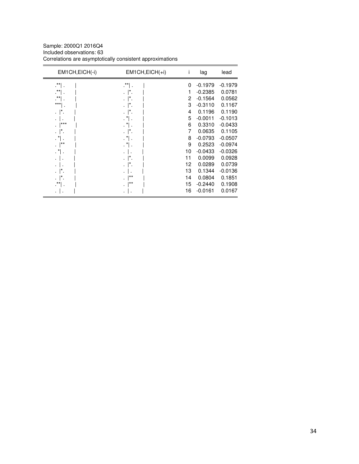Sample: 2000Q1 2016Q4 Included observations: 63 Correlations are asymptotically consistent approximations

| EM1CH, EICH(-i)           | $EM1CH, EICH(+i)$    | I  | lag       | lead      |
|---------------------------|----------------------|----|-----------|-----------|
| $\cdot$ $^{\star\star}$ . | $\cdot$ ** .         | 0  | $-0.1979$ | $-0.1979$ |
| $\cdot$ **                |                      | 1  | $-0.2385$ | 0.0781    |
| $\cdot$ **                | $\ddot{\phantom{0}}$ | 2  | $-0.1564$ | 0.0562    |
| $***$<br>٠                |                      | 3  | $-0.3110$ | 0.1167    |
|                           |                      | 4  | 0.1196    | 0.1190    |
|                           |                      | 5  | $-0.0011$ | $-0.1013$ |
| ***                       |                      | 6  | 0.3310    | $-0.0433$ |
|                           | $\ddot{\cdot}$       | 7  | 0.0635    | 0.1105    |
|                           |                      | 8  | $-0.0793$ | $-0.0507$ |
| $+ *$                     |                      | 9  | 0.2523    | $-0.0974$ |
| *                         |                      | 10 | $-0.0433$ | $-0.0326$ |
|                           |                      | 11 | 0.0099    | 0.0928    |
|                           |                      | 12 | 0.0289    | 0.0739    |
|                           |                      | 13 | 0.1344    | $-0.0136$ |
|                           | $**$                 | 14 | 0.0804    | 0.1851    |
| $***$                     | $***$                | 15 | $-0.2440$ | 0.1908    |
|                           | ٠                    | 16 | $-0.0161$ | 0.0167    |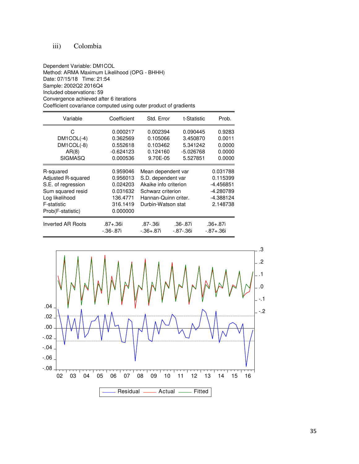# iii) Colombia

Dependent Variable: DM1COL Method: ARMA Maximum Likelihood (OPG - BHHH) Date: 07/15/18 Time: 21:54 Sample: 2002Q2 2016Q4 Included observations: 59 Convergence achieved after 6 iterations Coefficient covariance computed using outer product of gradients

| Variable                 | Coefficient               | Std. Error              | t-Statistic                 | Prob.                            |
|--------------------------|---------------------------|-------------------------|-----------------------------|----------------------------------|
| C                        | 0.000217                  | 0.002394                | 0.090445                    | 0.9283                           |
| $DM1COL(-4)$             | 0.362569                  | 0.105066                | 3.450870                    | 0.0011                           |
| DM1COL(-8)               | 0.552618                  | 0.103462                | 5.341242                    | 0.0000                           |
| AR(8)                    | $-0.624123$               | 0.124160                | $-5.026768$                 | 0.0000                           |
| <b>SIGMASO</b>           | 0.000536                  | 9.70E-05                | 5.527851                    | 0.0000                           |
| R-squared                | 0.959046                  | Mean dependent var      |                             | 0.031788                         |
| Adjusted R-squared       | 0.956013                  | S.D. dependent var      |                             | 0.115399                         |
| S.E. of regression       | 0.024203                  | Akaike info criterion   |                             | $-4.456851$                      |
| Sum squared resid        | 0.031632                  | Schwarz criterion       |                             | -4.280789                        |
| Log likelihood           | 136.4771                  | Hannan-Quinn criter.    |                             | -4.388124                        |
| F-statistic              | 316.1419                  | Durbin-Watson stat      |                             | 2.148738                         |
| Prob(F-statistic)        | 0.000000                  |                         |                             |                                  |
| <b>Inverted AR Roots</b> | $.87 + .36i$<br>-.36-.87i | .87-.36i<br>$-.36+.87i$ | .36-.87i<br>$-0.87 - 0.361$ | $.36 + .87i$<br>$-0.87 + 0.36$ i |

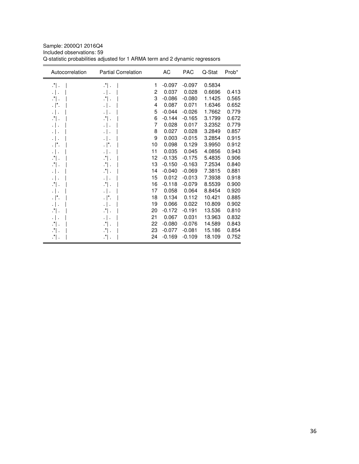| Autocorrelation | <b>Partial Correlation</b> |    | AC       | <b>PAC</b> | Q-Stat | Prob* |
|-----------------|----------------------------|----|----------|------------|--------|-------|
| $\cdot$ .       | $\cdot$ .                  | 1  | $-0.097$ | $-0.097$   | 0.5834 |       |
| .               |                            | 2  | 0.037    | 0.028      | 0.6696 | 0.413 |
| $\cdot$ .       | $\cdot$ .                  | 3  | $-0.086$ | $-0.080$   | 1.1425 | 0.565 |
| . ∣*.           |                            | 4  | 0.087    | 0.071      | 1.6346 | 0.652 |
|                 |                            | 5  | $-0.044$ | $-0.026$   | 1.7662 | 0.779 |
| .*I.            | ∴" .                       | 6  | $-0.144$ | $-0.165$   | 3.1799 | 0.672 |
|                 |                            | 7  | 0.028    | 0.017      | 3.2352 | 0.779 |
| $\cdot$ .       |                            | 8  | 0.027    | 0.028      | 3.2849 | 0.857 |
|                 |                            | 9  | 0.003    | $-0.015$   | 3.2854 | 0.915 |
| . $\vert^*$ .   |                            | 10 | 0.098    | 0.129      | 3.9950 | 0.912 |
| $\cdot$ .       |                            | 11 | 0.035    | 0.045      | 4.0856 | 0.943 |
| $\cdot$ .       | $\cdot$ .                  | 12 | $-0.135$ | $-0.175$   | 5.4835 | 0.906 |
| $\cdot$ .       | ∴"   .                     | 13 | $-0.150$ | $-0.163$   | 7.2534 | 0.840 |
|                 | .*  .                      | 14 | $-0.040$ | $-0.069$   | 7.3815 | 0.881 |
| .               |                            | 15 | 0.012    | $-0.013$   | 7.3938 | 0.918 |
| $\cdot$ .       | $\cdot$ .                  | 16 | $-0.118$ | $-0.079$   | 8.5539 | 0.900 |
|                 |                            | 17 | 0.058    | 0.064      | 8.8454 | 0.920 |
| . ∣*.           |                            | 18 | 0.134    | 0.112      | 10.421 | 0.885 |
|                 |                            | 19 | 0.066    | 0.022      | 10.809 | 0.902 |
| .*  .           | ∴" .                       | 20 | $-0.172$ | $-0.191$   | 13.536 | 0.810 |
| .               | . .                        | 21 | 0.067    | 0.031      | 13.963 | 0.832 |
| .*  .           | ∴" .                       | 22 | $-0.080$ | $-0.076$   | 14.589 | 0.843 |
| $\mathbf{r}$ .  | ∴'  .                      | 23 | $-0.077$ | $-0.081$   | 15.186 | 0.854 |
| $\cdot$ .       | $\cdot^*$ .                | 24 | $-0.169$ | $-0.109$   | 18.109 | 0.752 |

Sample: 2000Q1 2016Q4 Included observations: 59 Q-statistic probabilities adjusted for 1 ARMA term and 2 dynamic regressors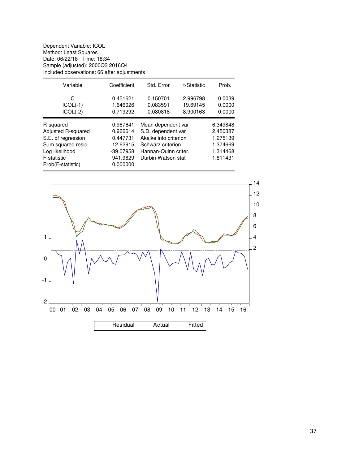Dependent Variable: ICOL Method: Least Squares Date: 06/22/18 Time: 18:34 Sample (adjusted): 2000Q3 2016Q4 Included observations: 66 after adjustments

| Variable                                                                                                                         | Coefficient                                                                         | Std. Error                                                                                                                           | t-Statistic                         | Prob.                                                                |
|----------------------------------------------------------------------------------------------------------------------------------|-------------------------------------------------------------------------------------|--------------------------------------------------------------------------------------------------------------------------------------|-------------------------------------|----------------------------------------------------------------------|
| С<br>$ICOL(-1)$<br>$ICOL(-2)$                                                                                                    | 0.451621<br>1.646026<br>$-0.719292$                                                 | 0.150701<br>0.083591<br>0.080818                                                                                                     | 2.996798<br>19.69145<br>$-8.900163$ | 0.0039<br>0.0000<br>0.0000                                           |
| R-squared<br>Adjusted R-squared<br>S.E. of regression<br>Sum squared resid<br>Log likelihood<br>F-statistic<br>Prob(F-statistic) | 0.967641<br>0.966614<br>0.447731<br>12.62915<br>$-39.07958$<br>941.9629<br>0.000000 | Mean dependent var<br>S.D. dependent var<br>Akaike info criterion<br>Schwarz criterion<br>Hannan-Quinn criter.<br>Durbin-Watson stat |                                     | 6.349848<br>2.450387<br>1.275139<br>1.374669<br>1.314468<br>1.811431 |

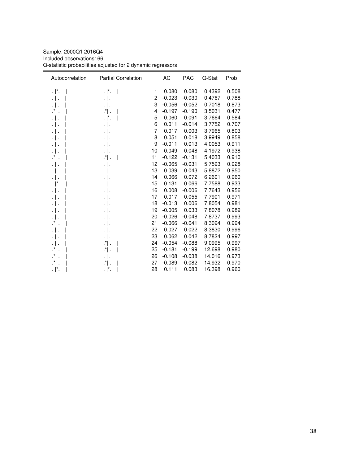| Sample: 2000Q1 2016Q4                                       |
|-------------------------------------------------------------|
| Included observations: 66                                   |
| Q-statistic probabilities adjusted for 2 dynamic regressors |

| Autocorrelation | <b>Partial Correlation</b> |    | AC       | <b>PAC</b> | Q-Stat | Prob  |
|-----------------|----------------------------|----|----------|------------|--------|-------|
| . $\vert^*$ .   | . $\vert^* .$              | 1  | 0.080    | 0.080      | 0.4392 | 0.508 |
| .               | .                          | 2  | $-0.023$ | $-0.030$   | 0.4767 | 0.788 |
| .   .           | $\cdot$                    | 3  | $-0.056$ | $-0.052$   | 0.7018 | 0.873 |
| $\cdot$ .       | $\cdot$ .                  | 4  | $-0.197$ | $-0.190$   | 3.5031 | 0.477 |
| .               | $\cdot$  *.                | 5  | 0.060    | 0.091      | 3.7664 | 0.584 |
| .   .           | $\cdot$                    | 6  | 0.011    | $-0.014$   | 3.7752 | 0.707 |
| .               |                            | 7  | 0.017    | 0.003      | 3.7965 | 0.803 |
|                 | $\cdot$                    | 8  | 0.051    | 0.018      | 3.9949 | 0.858 |
|                 |                            | 9  | $-0.011$ | 0.013      | 4.0053 | 0.911 |
| .               |                            | 10 | 0.049    | 0.048      | 4.1972 | 0.938 |
| ∴" .            | ∴" ∴                       | 11 | $-0.122$ | $-0.131$   | 5.4033 | 0.910 |
| .   .           |                            | 12 | $-0.065$ | $-0.031$   | 5.7593 | 0.928 |
|                 |                            | 13 | 0.039    | 0.043      | 5.8872 | 0.950 |
| .               | $\cdot$                    | 14 | 0.066    | 0.072      | 6.2601 | 0.960 |
| . ا .           |                            | 15 | 0.131    | 0.066      | 7.7588 | 0.933 |
| .               |                            | 16 | 0.008    | $-0.006$   | 7.7643 | 0.956 |
|                 | $\cdot$                    | 17 | 0.017    | 0.055      | 7.7901 | 0.971 |
| .               |                            | 18 | $-0.013$ | 0.006      | 7.8054 | 0.981 |
| $\cdot$ .       |                            | 19 | $-0.005$ | 0.033      | 7.8078 | 0.989 |
| .               |                            | 20 | $-0.026$ | $-0.048$   | 7.8737 | 0.993 |
| $\cdot$ ".      | $\cdot$  <br>÷,            | 21 | $-0.066$ | $-0.041$   | 8.3094 | 0.994 |
| .               | .                          | 22 | 0.027    | 0.022      | 8.3830 | 0.996 |
| .   .           |                            | 23 | 0.062    | 0.042      | 8.7824 | 0.997 |
| .   .           | .*  .                      | 24 | $-0.054$ | $-0.088$   | 9.0995 | 0.997 |
| $\cdot$ .       | $\cdot$ .                  | 25 | $-0.181$ | $-0.199$   | 12.698 | 0.980 |
| $\cdot$ .       | $\cdot$                    | 26 | $-0.108$ | $-0.038$   | 14.016 | 0.973 |
| ∴" .            | .*  .                      | 27 | $-0.089$ | $-0.082$   | 14.932 | 0.970 |
| . ∣*.           | . $\vert^* .$              | 28 | 0.111    | 0.083      | 16.398 | 0.960 |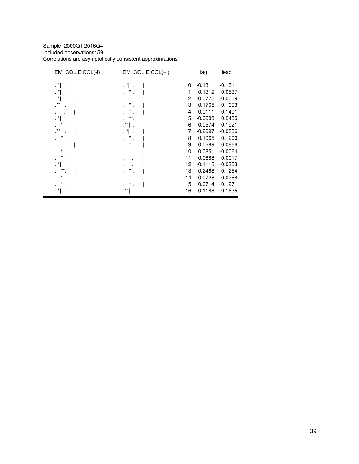Sample: 2000Q1 2016Q4 Included observations: 59 Correlations are asymptotically consistent approximations

| EM1COL, EICOL(-i) | EM1COL, EICOL(+i)           | i  | lag       | lead      |
|-------------------|-----------------------------|----|-----------|-----------|
| $\cdot$ $\cdot$   | $\mathbf{r}$ . $\mathbf{r}$ | 0  | $-0.1311$ | $-0.1311$ |
| $\cdot$ $\cdot$   |                             | 1  | $-0.1312$ | 0.0537    |
|                   |                             | 2  | $-0.0775$ | $-0.0009$ |
| .**               |                             | 3  | $-0.1765$ | 0.1093    |
|                   |                             | 4  | 0.0111    | 0.1401    |
|                   |                             | 5  | $-0.0683$ | 0.2435    |
|                   |                             | 6  | 0.0574    | $-0.1921$ |
| $\cdot$ **,       | . *                         | 7  | $-0.2097$ | $-0.0836$ |
|                   |                             | 8  | 0.1065    | 0.1200    |
|                   |                             | 9  | 0.0289    | 0.0866    |
|                   |                             | 10 | 0.0851    | $-0.0064$ |
|                   |                             | 11 | 0.0688    | $-0.0017$ |
|                   |                             | 12 | $-0.1115$ | $-0.0353$ |
| **                |                             | 13 | 0.2468    | 0.1254    |
|                   |                             | 14 | 0.0728    | $-0.0288$ |
|                   |                             | 15 | 0.0714    | 0.1271    |
|                   | $***$                       | 16 | $-0.1188$ | $-0.1635$ |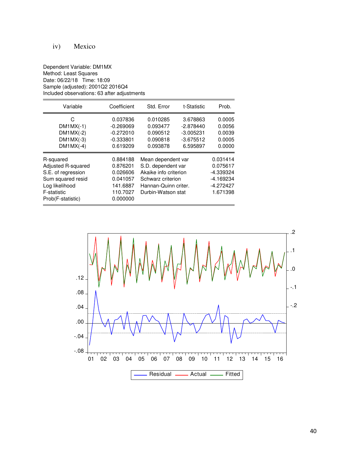# iv) Mexico

#### Dependent Variable: DM1MX Method: Least Squares Date: 06/22/18 Time: 18:09 Sample (adjusted): 2001Q2 2016Q4 Included observations: 63 after adjustments

| Variable                                                                                                                         | Coefficient                                                                      | Std. Error<br>t-Statistic                                                                                                            |                                                                   | Prob.                                                                     |
|----------------------------------------------------------------------------------------------------------------------------------|----------------------------------------------------------------------------------|--------------------------------------------------------------------------------------------------------------------------------------|-------------------------------------------------------------------|---------------------------------------------------------------------------|
| C<br>$DM1MX(-1)$<br>$DM1MX(-2)$<br>$DM1MX(-3)$<br>$DM1MX(-4)$                                                                    | 0.037836<br>$-0.269069$<br>$-0.272010$<br>$-0.333801$<br>0.619209                | 0.010285<br>0.093477<br>0.090512<br>0.090818<br>0.093878                                                                             | 3.678863<br>$-2.878440$<br>$-3.005231$<br>$-3.675512$<br>6.595897 | 0.0005<br>0.0056<br>0.0039<br>0.0005<br>0.0000                            |
| R-squared<br>Adjusted R-squared<br>S.E. of regression<br>Sum squared resid<br>Log likelihood<br>F-statistic<br>Prob(F-statistic) | 0.884188<br>0.876201<br>0.026606<br>0.041057<br>141.6887<br>110.7027<br>0.000000 | Mean dependent var<br>S.D. dependent var<br>Akaike info criterion<br>Schwarz criterion<br>Hannan-Quinn criter.<br>Durbin-Watson stat |                                                                   | 0.031414<br>0.075617<br>-4.339324<br>$-4.169234$<br>-4.272427<br>1.671398 |

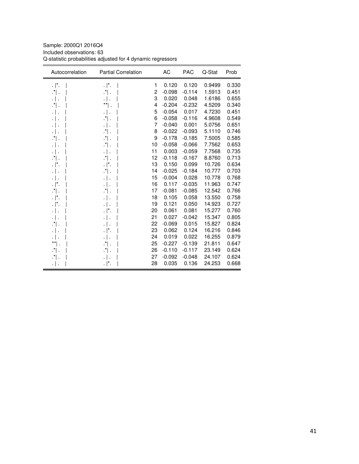Sample: 2000Q1 2016Q4 Included observations: 63 Q-statistic probabilities adjusted for 4 dynamic regressors

| . $\vert^*$ .<br>$\cdot$  *.<br>0.120<br>0.120<br>0.9499<br>0.330<br>1<br>2<br>0.451<br>$\cdot$ " .<br>$\cdot$ .<br>$-0.098$<br>$-0.114$<br>1.5913<br>3<br>0.020<br>0.048<br>1.6186<br>0.655<br>$\cdot$  <br>$\cdot$ .<br>4<br>$-0.204$<br>0.340<br>$\cdot$ .<br>** .<br>$-0.232$<br>4.5209<br>5<br>0.017<br>0.451<br>$-0.054$<br>4.7230<br>$\cdot \mid$ .<br>$\cdot$ .<br>6<br>$-0.058$<br>$-0.116$<br>4.9608<br>0.549<br>$\cdot$ .<br>$\cdot$ ] .<br>7<br>$-0.040$<br>0.001<br>5.0756<br>0.651<br>$\cdot$  <br>$\cdot$ .<br>$\cdot$<br>8<br>$-0.022$<br>$-0.093$<br>5.1110<br>$\cdot$ .<br>0.746<br>.   .<br>9<br>$-0.178$<br>$-0.185$<br>0.585<br>.*  .<br>$\cdot$ .<br>7.5005<br>10<br>$-0.058$<br>$-0.066$<br>7.7562<br>0.653<br>$\cdot$ .<br>.   .<br>11<br>0.003<br>$-0.059$<br>0.735<br>7.7568<br>$\cdot$ .<br>.   .<br>$\cdot$ " .<br>$\cdot$ .<br>12<br>$-0.118$<br>$-0.167$<br>0.713<br>8.8760<br>13<br>0.099<br>. $\vert^*$ .<br>0.150<br>10.726<br>0.634<br>. $\vert$ *.<br>$-0.184$<br>0.703<br>$\cdot$ .<br>14<br>$-0.025$<br>10.777<br>.   .<br>$-0.004$<br>15<br>0.028<br>10.778<br>0.768<br>.   .<br>$\cdot$  <br>11.963<br>16<br>0.117<br>$-0.035$<br>0.747<br>$\cdot$  *.<br>$\cdot$ .<br>$\cdot$ $\vert$ .<br>$-0.081$<br>$-0.085$<br>12.542<br>0.766<br>$\cdot$ .<br>17<br>18<br>0.105<br>0.058<br>13.550<br>0.758<br>$\cdot$  *.<br>.   .<br>19<br>0.121<br>0.050<br>14.923<br>0.727<br>$\cdot$  *.<br>$\cdot \mid$ .<br>0.081<br>0.061<br>15.277<br>0.760<br>20<br>. $\vert^*$ .<br>$\cdot$ .<br>21<br>0.027<br>$-0.042$<br>15.347<br>0.805<br>.   .<br>.   .<br>22<br>$-0.069$<br>0.015<br>15.827<br>0.824<br>$\cdot$ .<br>$\cdot$ .<br>23<br>0.062<br>0.124<br>16.216<br>0.846<br>$\cdot$  *.<br>.   .<br>0.019<br>24<br>0.022<br>16.255<br>0.879<br>$\cdot$  <br>$\cdot$ .<br>$^{\star\star} $ .<br>$-0.139$<br>$\cdot$ .<br>$-0.227$<br>21.811<br>0.647<br>25<br>$\cdot$ .<br>26<br>$-0.110$<br>$-0.117$<br>23.149<br>$\cdot$ .<br>0.624<br>$-0.092$<br>24.107<br>0.624<br>$\cdot$ .<br>27<br>$-0.048$<br>$\cdot$ .<br>28<br>0.035<br>0.136<br>24.253<br>0.668<br>$\cdot$  *.<br>٠١. | Autocorrelation | <b>Partial Correlation</b> | AC | <b>PAC</b> | Q-Stat | Prob |
|------------------------------------------------------------------------------------------------------------------------------------------------------------------------------------------------------------------------------------------------------------------------------------------------------------------------------------------------------------------------------------------------------------------------------------------------------------------------------------------------------------------------------------------------------------------------------------------------------------------------------------------------------------------------------------------------------------------------------------------------------------------------------------------------------------------------------------------------------------------------------------------------------------------------------------------------------------------------------------------------------------------------------------------------------------------------------------------------------------------------------------------------------------------------------------------------------------------------------------------------------------------------------------------------------------------------------------------------------------------------------------------------------------------------------------------------------------------------------------------------------------------------------------------------------------------------------------------------------------------------------------------------------------------------------------------------------------------------------------------------------------------------------------------------------------------------------------------------------------------------------------------------------------------------------------------------------------------------------------------------------------------------------------------------------------------------------------------------------------------|-----------------|----------------------------|----|------------|--------|------|
|                                                                                                                                                                                                                                                                                                                                                                                                                                                                                                                                                                                                                                                                                                                                                                                                                                                                                                                                                                                                                                                                                                                                                                                                                                                                                                                                                                                                                                                                                                                                                                                                                                                                                                                                                                                                                                                                                                                                                                                                                                                                                                                  |                 |                            |    |            |        |      |
|                                                                                                                                                                                                                                                                                                                                                                                                                                                                                                                                                                                                                                                                                                                                                                                                                                                                                                                                                                                                                                                                                                                                                                                                                                                                                                                                                                                                                                                                                                                                                                                                                                                                                                                                                                                                                                                                                                                                                                                                                                                                                                                  |                 |                            |    |            |        |      |
|                                                                                                                                                                                                                                                                                                                                                                                                                                                                                                                                                                                                                                                                                                                                                                                                                                                                                                                                                                                                                                                                                                                                                                                                                                                                                                                                                                                                                                                                                                                                                                                                                                                                                                                                                                                                                                                                                                                                                                                                                                                                                                                  |                 |                            |    |            |        |      |
|                                                                                                                                                                                                                                                                                                                                                                                                                                                                                                                                                                                                                                                                                                                                                                                                                                                                                                                                                                                                                                                                                                                                                                                                                                                                                                                                                                                                                                                                                                                                                                                                                                                                                                                                                                                                                                                                                                                                                                                                                                                                                                                  |                 |                            |    |            |        |      |
|                                                                                                                                                                                                                                                                                                                                                                                                                                                                                                                                                                                                                                                                                                                                                                                                                                                                                                                                                                                                                                                                                                                                                                                                                                                                                                                                                                                                                                                                                                                                                                                                                                                                                                                                                                                                                                                                                                                                                                                                                                                                                                                  |                 |                            |    |            |        |      |
|                                                                                                                                                                                                                                                                                                                                                                                                                                                                                                                                                                                                                                                                                                                                                                                                                                                                                                                                                                                                                                                                                                                                                                                                                                                                                                                                                                                                                                                                                                                                                                                                                                                                                                                                                                                                                                                                                                                                                                                                                                                                                                                  |                 |                            |    |            |        |      |
|                                                                                                                                                                                                                                                                                                                                                                                                                                                                                                                                                                                                                                                                                                                                                                                                                                                                                                                                                                                                                                                                                                                                                                                                                                                                                                                                                                                                                                                                                                                                                                                                                                                                                                                                                                                                                                                                                                                                                                                                                                                                                                                  |                 |                            |    |            |        |      |
|                                                                                                                                                                                                                                                                                                                                                                                                                                                                                                                                                                                                                                                                                                                                                                                                                                                                                                                                                                                                                                                                                                                                                                                                                                                                                                                                                                                                                                                                                                                                                                                                                                                                                                                                                                                                                                                                                                                                                                                                                                                                                                                  |                 |                            |    |            |        |      |
|                                                                                                                                                                                                                                                                                                                                                                                                                                                                                                                                                                                                                                                                                                                                                                                                                                                                                                                                                                                                                                                                                                                                                                                                                                                                                                                                                                                                                                                                                                                                                                                                                                                                                                                                                                                                                                                                                                                                                                                                                                                                                                                  |                 |                            |    |            |        |      |
|                                                                                                                                                                                                                                                                                                                                                                                                                                                                                                                                                                                                                                                                                                                                                                                                                                                                                                                                                                                                                                                                                                                                                                                                                                                                                                                                                                                                                                                                                                                                                                                                                                                                                                                                                                                                                                                                                                                                                                                                                                                                                                                  |                 |                            |    |            |        |      |
|                                                                                                                                                                                                                                                                                                                                                                                                                                                                                                                                                                                                                                                                                                                                                                                                                                                                                                                                                                                                                                                                                                                                                                                                                                                                                                                                                                                                                                                                                                                                                                                                                                                                                                                                                                                                                                                                                                                                                                                                                                                                                                                  |                 |                            |    |            |        |      |
|                                                                                                                                                                                                                                                                                                                                                                                                                                                                                                                                                                                                                                                                                                                                                                                                                                                                                                                                                                                                                                                                                                                                                                                                                                                                                                                                                                                                                                                                                                                                                                                                                                                                                                                                                                                                                                                                                                                                                                                                                                                                                                                  |                 |                            |    |            |        |      |
|                                                                                                                                                                                                                                                                                                                                                                                                                                                                                                                                                                                                                                                                                                                                                                                                                                                                                                                                                                                                                                                                                                                                                                                                                                                                                                                                                                                                                                                                                                                                                                                                                                                                                                                                                                                                                                                                                                                                                                                                                                                                                                                  |                 |                            |    |            |        |      |
|                                                                                                                                                                                                                                                                                                                                                                                                                                                                                                                                                                                                                                                                                                                                                                                                                                                                                                                                                                                                                                                                                                                                                                                                                                                                                                                                                                                                                                                                                                                                                                                                                                                                                                                                                                                                                                                                                                                                                                                                                                                                                                                  |                 |                            |    |            |        |      |
|                                                                                                                                                                                                                                                                                                                                                                                                                                                                                                                                                                                                                                                                                                                                                                                                                                                                                                                                                                                                                                                                                                                                                                                                                                                                                                                                                                                                                                                                                                                                                                                                                                                                                                                                                                                                                                                                                                                                                                                                                                                                                                                  |                 |                            |    |            |        |      |
|                                                                                                                                                                                                                                                                                                                                                                                                                                                                                                                                                                                                                                                                                                                                                                                                                                                                                                                                                                                                                                                                                                                                                                                                                                                                                                                                                                                                                                                                                                                                                                                                                                                                                                                                                                                                                                                                                                                                                                                                                                                                                                                  |                 |                            |    |            |        |      |
|                                                                                                                                                                                                                                                                                                                                                                                                                                                                                                                                                                                                                                                                                                                                                                                                                                                                                                                                                                                                                                                                                                                                                                                                                                                                                                                                                                                                                                                                                                                                                                                                                                                                                                                                                                                                                                                                                                                                                                                                                                                                                                                  |                 |                            |    |            |        |      |
|                                                                                                                                                                                                                                                                                                                                                                                                                                                                                                                                                                                                                                                                                                                                                                                                                                                                                                                                                                                                                                                                                                                                                                                                                                                                                                                                                                                                                                                                                                                                                                                                                                                                                                                                                                                                                                                                                                                                                                                                                                                                                                                  |                 |                            |    |            |        |      |
|                                                                                                                                                                                                                                                                                                                                                                                                                                                                                                                                                                                                                                                                                                                                                                                                                                                                                                                                                                                                                                                                                                                                                                                                                                                                                                                                                                                                                                                                                                                                                                                                                                                                                                                                                                                                                                                                                                                                                                                                                                                                                                                  |                 |                            |    |            |        |      |
|                                                                                                                                                                                                                                                                                                                                                                                                                                                                                                                                                                                                                                                                                                                                                                                                                                                                                                                                                                                                                                                                                                                                                                                                                                                                                                                                                                                                                                                                                                                                                                                                                                                                                                                                                                                                                                                                                                                                                                                                                                                                                                                  |                 |                            |    |            |        |      |
|                                                                                                                                                                                                                                                                                                                                                                                                                                                                                                                                                                                                                                                                                                                                                                                                                                                                                                                                                                                                                                                                                                                                                                                                                                                                                                                                                                                                                                                                                                                                                                                                                                                                                                                                                                                                                                                                                                                                                                                                                                                                                                                  |                 |                            |    |            |        |      |
|                                                                                                                                                                                                                                                                                                                                                                                                                                                                                                                                                                                                                                                                                                                                                                                                                                                                                                                                                                                                                                                                                                                                                                                                                                                                                                                                                                                                                                                                                                                                                                                                                                                                                                                                                                                                                                                                                                                                                                                                                                                                                                                  |                 |                            |    |            |        |      |
|                                                                                                                                                                                                                                                                                                                                                                                                                                                                                                                                                                                                                                                                                                                                                                                                                                                                                                                                                                                                                                                                                                                                                                                                                                                                                                                                                                                                                                                                                                                                                                                                                                                                                                                                                                                                                                                                                                                                                                                                                                                                                                                  |                 |                            |    |            |        |      |
|                                                                                                                                                                                                                                                                                                                                                                                                                                                                                                                                                                                                                                                                                                                                                                                                                                                                                                                                                                                                                                                                                                                                                                                                                                                                                                                                                                                                                                                                                                                                                                                                                                                                                                                                                                                                                                                                                                                                                                                                                                                                                                                  |                 |                            |    |            |        |      |
|                                                                                                                                                                                                                                                                                                                                                                                                                                                                                                                                                                                                                                                                                                                                                                                                                                                                                                                                                                                                                                                                                                                                                                                                                                                                                                                                                                                                                                                                                                                                                                                                                                                                                                                                                                                                                                                                                                                                                                                                                                                                                                                  |                 |                            |    |            |        |      |
|                                                                                                                                                                                                                                                                                                                                                                                                                                                                                                                                                                                                                                                                                                                                                                                                                                                                                                                                                                                                                                                                                                                                                                                                                                                                                                                                                                                                                                                                                                                                                                                                                                                                                                                                                                                                                                                                                                                                                                                                                                                                                                                  |                 |                            |    |            |        |      |
|                                                                                                                                                                                                                                                                                                                                                                                                                                                                                                                                                                                                                                                                                                                                                                                                                                                                                                                                                                                                                                                                                                                                                                                                                                                                                                                                                                                                                                                                                                                                                                                                                                                                                                                                                                                                                                                                                                                                                                                                                                                                                                                  |                 |                            |    |            |        |      |
|                                                                                                                                                                                                                                                                                                                                                                                                                                                                                                                                                                                                                                                                                                                                                                                                                                                                                                                                                                                                                                                                                                                                                                                                                                                                                                                                                                                                                                                                                                                                                                                                                                                                                                                                                                                                                                                                                                                                                                                                                                                                                                                  |                 |                            |    |            |        |      |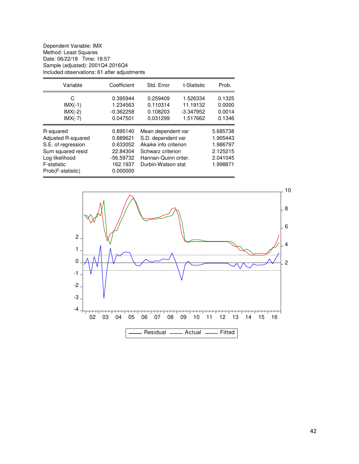Dependent Variable: IMX Method: Least Squares Date: 06/22/18 Time: 18:57 Sample (adjusted): 2001Q4 2016Q4 Included observations: 61 after adjustments

| Variable                                                                                                                         | Coefficient                                                                       | Std. Error<br>t-Statistic                                                                                                            |                                                 | Prob.                                                                |
|----------------------------------------------------------------------------------------------------------------------------------|-----------------------------------------------------------------------------------|--------------------------------------------------------------------------------------------------------------------------------------|-------------------------------------------------|----------------------------------------------------------------------|
| C<br>$IMX(-1)$<br>$IMX(-2)$<br>$IMX(-7)$                                                                                         | 0.395944<br>1.234563<br>$-0.362258$<br>0.047501                                   | 0.259409<br>0.110314<br>0.108203<br>0.031299                                                                                         | 1.526334<br>11.19132<br>$-3.347952$<br>1.517662 | 0.1325<br>0.0000<br>0.0014<br>0.1346                                 |
| R-squared<br>Adjusted R-squared<br>S.E. of regression<br>Sum squared resid<br>Log likelihood<br>F-statistic<br>Prob(F-statistic) | 0.895140<br>0.889621<br>0.633052<br>22.84304<br>-56.59732<br>162.1937<br>0.000000 | Mean dependent var<br>S.D. dependent var<br>Akaike info criterion<br>Schwarz criterion<br>Hannan-Quinn criter.<br>Durbin-Watson stat |                                                 | 5.685738<br>1.905443<br>1.986797<br>2.125215<br>2.041045<br>1.998871 |

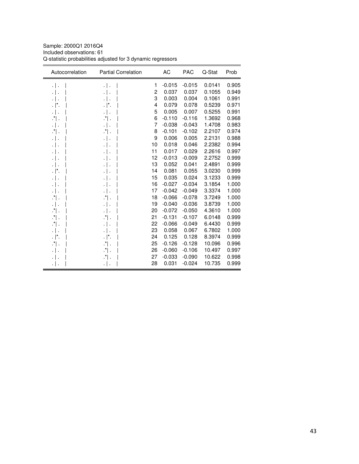Sample: 2000Q1 2016Q4 Included observations: 61 Q-statistic probabilities adjusted for 3 dynamic regressors

| Autocorrelation | <b>Partial Correlation</b> |    | AC       | <b>PAC</b> | Q-Stat | Prob  |
|-----------------|----------------------------|----|----------|------------|--------|-------|
| .   .           | .                          | 1  | $-0.015$ | $-0.015$   | 0.0141 | 0.905 |
| .               | . ا .                      | 2  | 0.037    | 0.037      | 0.1055 | 0.949 |
| .               |                            | 3  | 0.003    | 0.004      | 0.1061 | 0.991 |
| . ∣*.           | . $\vert^*$ .              | 4  | 0.079    | 0.078      | 0.5239 | 0.971 |
| ٠١.             |                            | 5  | 0.005    | 0.007      | 0.5255 | 0.991 |
| ∴" .            | ∴" ∴                       | 6  | $-0.110$ | $-0.116$   | 1.3692 | 0.968 |
| .               |                            | 7  | $-0.038$ | $-0.043$   | 1.4708 | 0.983 |
| ∴" .            | $\mathbf{r}$               | 8  | $-0.101$ | $-0.102$   | 2.2107 | 0.974 |
| .               |                            | 9  | 0.006    | 0.005      | 2.2131 | 0.988 |
| .               |                            | 10 | 0.018    | 0.046      | 2.2382 | 0.994 |
| .   .           |                            | 11 | 0.017    | 0.029      | 2.2616 | 0.997 |
| .               |                            | 12 | $-0.013$ | $-0.009$   | 2.2752 | 0.999 |
|                 | $\cdot$                    | 13 | 0.052    | 0.041      | 2.4891 | 0.999 |
| . ا .           |                            | 14 | 0.081    | 0.055      | 3.0230 | 0.999 |
| .               |                            | 15 | 0.035    | 0.024      | 3.1233 | 0.999 |
| .               |                            | 16 | $-0.027$ | $-0.034$   | 3.1854 | 1.000 |
| .               | $\cdot$                    | 17 | $-0.042$ | $-0.049$   | 3.3374 | 1.000 |
| ∴" ∴            | ∴" ∴                       | 18 | $-0.066$ | $-0.078$   | 3.7249 | 1.000 |
| $\cdot$ .       |                            | 19 | $-0.040$ | $-0.036$   | 3.8739 | 1.000 |
| $\cdot$ .       | .                          | 20 | $-0.072$ | $-0.050$   | 4.3610 | 1.000 |
| $\cdot$ .       | ∴" .                       | 21 | $-0.131$ | $-0.107$   | 6.0148 | 0.999 |
| ∴" .            | $\cdot$                    | 22 | $-0.066$ | $-0.049$   | 6.4430 | 0.999 |
| .   .           |                            | 23 | 0.058    | 0.067      | 6.7802 | 1.000 |
| $\cdot$  *.     | $\cdot$  *.                | 24 | 0.125    | 0.128      | 8.3974 | 0.999 |
| $\cdot$ .       | ∴" .                       | 25 | $-0.126$ | $-0.128$   | 10.096 | 0.996 |
| .               | $\cdot$ $\vert$ .          | 26 | $-0.060$ | $-0.106$   | 10.497 | 0.997 |
|                 | $\mathbf{r}$               | 27 | $-0.033$ | $-0.090$   | 10.622 | 0.998 |
|                 | $\cdot$                    | 28 | 0.031    | $-0.024$   | 10.735 | 0.999 |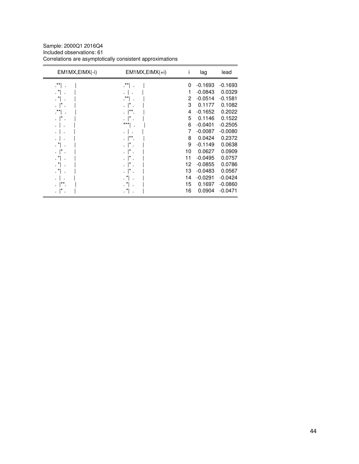Sample: 2000Q1 2016Q4 Included observations: 61 Correlations are asymptotically consistent approximations

| EM1MX, EIMX(-i)      | $EM1MX, EIMX(+i)$ | Ť        | lag       | lead      |
|----------------------|-------------------|----------|-----------|-----------|
| .**                  | $\cdot$ **        | $\Omega$ | $-0.1693$ | $-0.1693$ |
| . *                  |                   | 1        | $-0.0843$ | 0.0329    |
| $\cdot$ <sup>*</sup> | $\cdot$ **        | 2        | $-0.0514$ | $-0.1581$ |
|                      |                   | 3        | 0.1177    | 0.1082    |
| .**                  | **.               | 4        | $-0.1652$ | 0.2022    |
|                      |                   | 5        | 0.1146    | 0.1522    |
|                      | $***$<br>٠        | 6        | $-0.0401$ | $-0.2505$ |
|                      |                   | 7        | $-0.0087$ | $-0.0080$ |
|                      | $^{\star\star}$   | 8        | 0.0424    | 0.2372    |
|                      |                   | 9        | $-0.1149$ | 0.0638    |
|                      |                   | 10       | 0.0627    | 0.0909    |
|                      |                   | 11       | $-0.0495$ | 0.0757    |
| . *                  |                   | 12       | $-0.0855$ | 0.0786    |
|                      |                   | 13       | $-0.0483$ | 0.0567    |
|                      |                   | 14       | $-0.0291$ | $-0.0424$ |
| $***$                |                   | 15       | 0.1697    | $-0.0860$ |
|                      | $\ast$            | 16       | 0.0904    | $-0.0471$ |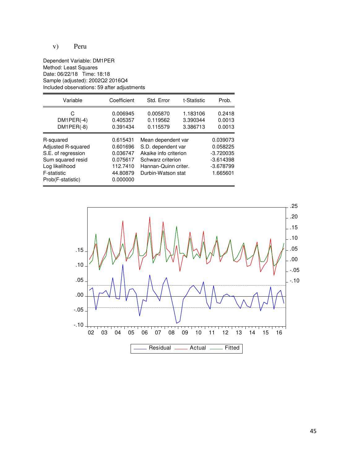# v) Peru

Dependent Variable: DM1PER Method: Least Squares Date: 06/22/18 Time: 18:18 Sample (adjusted): 2002Q2 2016Q4 Included observations: 59 after adjustments

| Variable                                                                                                                         | Coefficient                                                                      | Std. Error                                                                                                                           | t-Statistic                      | Prob.                                                                         |
|----------------------------------------------------------------------------------------------------------------------------------|----------------------------------------------------------------------------------|--------------------------------------------------------------------------------------------------------------------------------------|----------------------------------|-------------------------------------------------------------------------------|
| C<br>$DM1PER(-4)$<br>$DM1PER(-8)$                                                                                                | 0.006945<br>0.405357<br>0.391434                                                 | 0.005870<br>0.119562<br>0.115579                                                                                                     | 1.183106<br>3.390344<br>3.386713 | 0.2418<br>0.0013<br>0.0013                                                    |
| R-squared<br>Adjusted R-squared<br>S.E. of regression<br>Sum squared resid<br>Log likelihood<br>F-statistic<br>Prob(F-statistic) | 0.615431<br>0.601696<br>0.036747<br>0.075617<br>112.7410<br>44.80879<br>0.000000 | Mean dependent var<br>S.D. dependent var<br>Akaike info criterion<br>Schwarz criterion<br>Hannan-Quinn criter.<br>Durbin-Watson stat |                                  | 0.039073<br>0.058225<br>$-3.720035$<br>$-3.614398$<br>$-3.678799$<br>1.665601 |

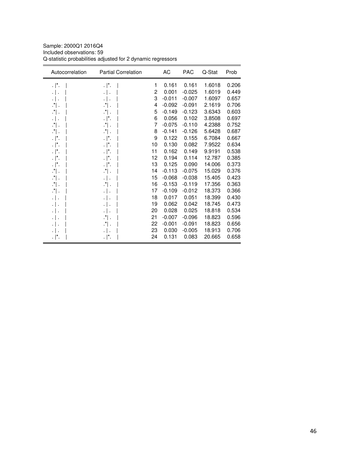Sample: 2000Q1 2016Q4 Included observations: 59 Q-statistic probabilities adjusted for 2 dynamic regressors

| Autocorrelation | <b>Partial Correlation</b> |    | AC       | <b>PAC</b> | Q-Stat | Prob  |
|-----------------|----------------------------|----|----------|------------|--------|-------|
| $\cdot$  *.     | $\cdot$  *.                | 1  | 0.161    | 0.161      | 1.6018 | 0.206 |
| $\cdot$ .       | $\cdot$                    | 2  | 0.001    | $-0.025$   | 1.6019 | 0.449 |
| .               | $\cdot$                    | 3  | $-0.011$ | $-0.007$   | 1.6097 | 0.657 |
| $\cdot$ .       | $\cdot$ .                  | 4  | $-0.092$ | $-0.091$   | 2.1619 | 0.706 |
| $\cdot$ .       | $\cdot$ .                  | 5  | $-0.149$ | $-0.123$   | 3.6343 | 0.603 |
| .               | $\cdot$  *.                | 6  | 0.056    | 0.102      | 3.8508 | 0.697 |
| ∴" .            | $\cdot$ .                  | 7  | $-0.075$ | $-0.110$   | 4.2388 | 0.752 |
| $\cdot$ .       | $\cdot$ .                  | 8  | $-0.141$ | $-0.126$   | 5.6428 | 0.687 |
| $\cdot$  *.     | $\cdot$  *.                | 9  | 0.122    | 0.155      | 6.7084 | 0.667 |
| . ∣*.           | $\cdot$  *.                | 10 | 0.130    | 0.082      | 7.9522 | 0.634 |
| $\cdot$  *.     | $\cdot$  *.                | 11 | 0.162    | 0.149      | 9.9191 | 0.538 |
| . ∣*.           | $\cdot$  *.                | 12 | 0.194    | 0.114      | 12.787 | 0.385 |
| . ∣*.           | $\cdot$  *.                | 13 | 0.125    | 0.090      | 14.006 | 0.373 |
| $\cdot$ .       | ∴*∣.                       | 14 | $-0.113$ | $-0.075$   | 15.029 | 0.376 |
| $\cdot$ .       | $\cdot$                    | 15 | $-0.068$ | $-0.038$   | 15.405 | 0.423 |
| $\cdot$ .       | $\cdot$ .                  | 16 | $-0.153$ | $-0.119$   | 17.356 | 0.363 |
| $\cdot$ .       | $\cdot$                    | 17 | $-0.109$ | $-0.012$   | 18.373 | 0.366 |
| .               |                            | 18 | 0.017    | 0.051      | 18.399 | 0.430 |
| $\cdot$ .       | $\cdot$ 1                  | 19 | 0.062    | 0.042      | 18.745 | 0.473 |
|                 | $\cdot$ .                  | 20 | 0.028    | 0.025      | 18.818 | 0.534 |
|                 | $\cdot$ .                  | 21 | $-0.007$ | $-0.096$   | 18.823 | 0.596 |
| .               | $\cdot$ .                  | 22 | $-0.001$ | $-0.091$   | 18.823 | 0.656 |
|                 |                            | 23 | 0.030    | $-0.005$   | 18.913 | 0.706 |
| $\cdot$  *.     | . $\vert^*$ .              | 24 | 0.131    | 0.083      | 20.665 | 0.658 |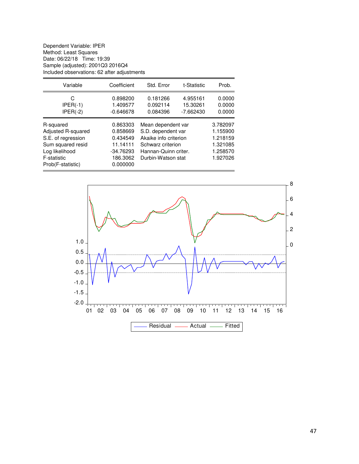Dependent Variable: IPER Method: Least Squares Date: 06/22/18 Time: 19:39 Sample (adjusted): 2001Q3 2016Q4 Included observations: 62 after adjustments

| Variable                                                                                                                         | Coefficient                                                                         | Std. Error                                                                                                                           | t-Statistic                         | Prob.                                                                |
|----------------------------------------------------------------------------------------------------------------------------------|-------------------------------------------------------------------------------------|--------------------------------------------------------------------------------------------------------------------------------------|-------------------------------------|----------------------------------------------------------------------|
| С<br>$IPER(-1)$<br>$IPER(-2)$                                                                                                    | 0.898200<br>1.409577<br>$-0.646678$                                                 | 0.181266<br>0.092114<br>0.084396                                                                                                     | 4.955161<br>15.30261<br>$-7.662430$ | 0.0000<br>0.0000<br>0.0000                                           |
| R-squared<br>Adjusted R-squared<br>S.E. of regression<br>Sum squared resid<br>Log likelihood<br>F-statistic<br>Prob(F-statistic) | 0.863303<br>0.858669<br>0.434549<br>11.14111<br>$-34.76293$<br>186.3062<br>0.000000 | Mean dependent var<br>S.D. dependent var<br>Akaike info criterion<br>Schwarz criterion<br>Hannan-Quinn criter.<br>Durbin-Watson stat |                                     | 3.782097<br>1.155900<br>1.218159<br>1.321085<br>1.258570<br>1.927026 |

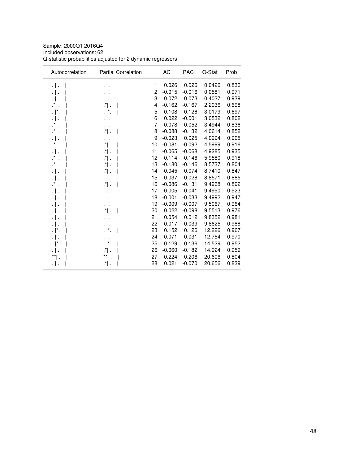Sample: 2000Q1 2016Q4 Included observations: 62 Q-statistic probabilities adjusted for 2 dynamic regressors

| Autocorrelation   | <b>Partial Correlation</b> |    | AC       | <b>PAC</b> | Q-Stat | Prob  |
|-------------------|----------------------------|----|----------|------------|--------|-------|
| $\cdot$ .         | $\cdot$                    | 1  | 0.026    | 0.026      | 0.0426 | 0.836 |
| $\cdot$ .         | $\cdot$ .                  | 2  | $-0.015$ | $-0.016$   | 0.0581 | 0.971 |
| $\cdot$ .         | $\cdot$   .                | 3  | 0.072    | 0.073      | 0.4037 | 0.939 |
| ∴" ∴              | $\cdot$ .                  | 4  | $-0.162$ | $-0.167$   | 2.2036 | 0.698 |
| $\cdot$  *.       | . ∣*.                      | 5  | 0.108    | 0.126      | 3.0179 | 0.697 |
| .   .             | $\cdot$                    | 6  | 0.022    | $-0.001$   | 3.0532 | 0.802 |
| $\cdot$ .         | $\cdot$                    | 7  | $-0.078$ | $-0.052$   | 3.4944 | 0.836 |
| $\cdot$ .         | ∴" ∴                       | 8  | $-0.088$ | $-0.132$   | 4.0614 | 0.852 |
| .                 | $\cdot$                    | 9  | $-0.023$ | 0.025      | 4.0994 | 0.905 |
| $\cdot$ $\vert$ . | $\cdot$ $\vert$ .          | 10 | $-0.081$ | $-0.092$   | 4.5999 | 0.916 |
| .   .             | $\cdot$ .                  | 11 | $-0.065$ | $-0.068$   | 4.9285 | 0.935 |
| $\cdot$ .         | $\cdot$ .                  | 12 | $-0.114$ | $-0.146$   | 5.9580 | 0.918 |
| .*  .             | $\cdot$ $\vert$ .          | 13 | $-0.180$ | $-0.146$   | 8.5737 | 0.804 |
| .   .             | $\cdot$ .                  | 14 | $-0.045$ | $-0.074$   | 8.7410 | 0.847 |
| .   .             | $\cdot$                    | 15 | 0.037    | 0.028      | 8.8571 | 0.885 |
| $\cdot$ .         | $\cdot$ .                  | 16 | $-0.086$ | $-0.131$   | 9.4968 | 0.892 |
| .   .             | $\cdot$                    | 17 | $-0.005$ | $-0.041$   | 9.4990 | 0.923 |
| .                 | $\cdot$ .                  | 18 | $-0.001$ | $-0.033$   | 9.4992 | 0.947 |
| .   .             | $\cdot$ .                  | 19 | $-0.009$ | $-0.007$   | 9.5067 | 0.964 |
| $\cdot$ .         | $\cdot$ .                  | 20 | 0.022    | $-0.098$   | 9.5513 | 0.976 |
| .                 | .   .                      | 21 | 0.054    | 0.012      | 9.8352 | 0.981 |
|                   | $\cdot$ .                  | 22 | 0.017    | $-0.039$   | 9.8625 | 0.988 |
| $\cdot$  *.       | . ∣*.                      | 23 | 0.152    | 0.126      | 12.226 | 0.967 |
| .   .             | $\cdot$ .                  | 24 | 0.071    | $-0.031$   | 12.754 | 0.970 |
| $\cdot$  *.       | . ∣*.                      | 25 | 0.129    | 0.136      | 14.529 | 0.952 |
|                   | ∴" ∴                       | 26 | $-0.060$ | $-0.182$   | 14.924 | 0.959 |
|                   | **                         | 27 | $-0.224$ | $-0.206$   | 20.606 | 0.804 |
| ۰   ۰             | $\cdot^*$ .                | 28 | 0.021    | $-0.070$   | 20.656 | 0.839 |